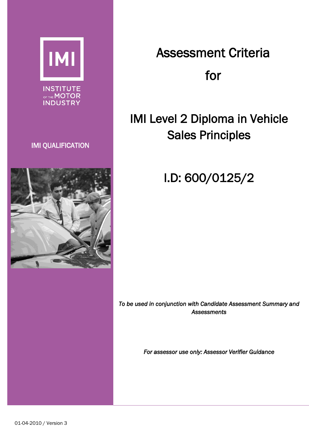

**INSTITUTE** OF THE MOTOR

### IMI QUALIFICATION



# Assessment Criteria for

## IMI Level 2 Diploma in Vehicle Sales Principles

I.D: 600/0125/2

*To be used in conjunction with Candidate Assessment Summary and Assessments* 

*For assessor use only: Assessor Verifier Guidance*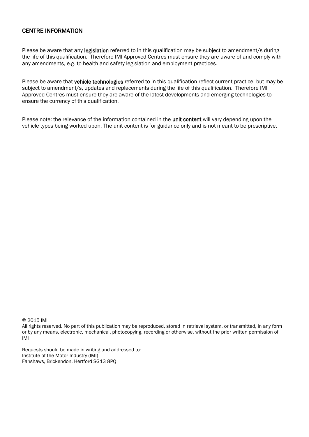### CENTRE INFORMATION

Please be aware that any legislation referred to in this qualification may be subject to amendment/s during the life of this qualification. Therefore IMI Approved Centres must ensure they are aware of and comply with any amendments, e.g. to health and safety legislation and employment practices.

Please be aware that vehicle technologies referred to in this qualification reflect current practice, but may be subject to amendment/s, updates and replacements during the life of this qualification. Therefore IMI Approved Centres must ensure they are aware of the latest developments and emerging technologies to ensure the currency of this qualification.

Please note: the relevance of the information contained in the unit content will vary depending upon the vehicle types being worked upon. The unit content is for guidance only and is not meant to be prescriptive.

© 2015 IMI

All rights reserved. No part of this publication may be reproduced, stored in retrieval system, or transmitted, in any form or by any means, electronic, mechanical, photocopying, recording or otherwise, without the prior written permission of IMI

Requests should be made in writing and addressed to: Institute of the Motor Industry (IMI) Fanshaws, Brickendon, Hertford SG13 8PQ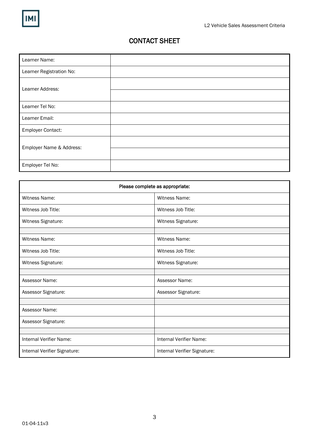### CONTACT SHEET

| Learner Name:            |  |
|--------------------------|--|
| Learner Registration No: |  |
| Learner Address:         |  |
|                          |  |
| Learner Tel No:          |  |
| Learner Email:           |  |
| <b>Employer Contact:</b> |  |
| Employer Name & Address: |  |
|                          |  |
| Employer Tel No:         |  |

| Please complete as appropriate: |                              |  |  |
|---------------------------------|------------------------------|--|--|
| <b>Witness Name:</b>            | Witness Name:                |  |  |
| Witness Job Title:              | Witness Job Title:           |  |  |
| Witness Signature:              | Witness Signature:           |  |  |
|                                 |                              |  |  |
| Witness Name:                   | <b>Witness Name:</b>         |  |  |
| Witness Job Title:              | Witness Job Title:           |  |  |
| Witness Signature:              | Witness Signature:           |  |  |
|                                 |                              |  |  |
| Assessor Name:                  | Assessor Name:               |  |  |
| Assessor Signature:             | Assessor Signature:          |  |  |
|                                 |                              |  |  |
| Assessor Name:                  |                              |  |  |
| Assessor Signature:             |                              |  |  |
|                                 |                              |  |  |
| Internal Verifier Name:         | Internal Verifier Name:      |  |  |
| Internal Verifier Signature:    | Internal Verifier Signature: |  |  |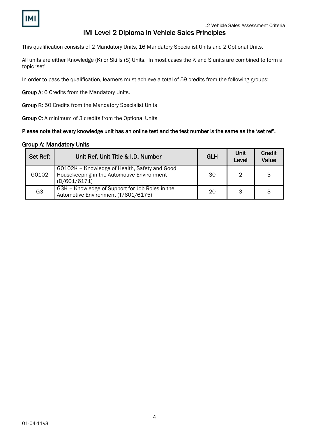### IMI Level 2 Diploma in Vehicle Sales Principles

This qualification consists of 2 Mandatory Units, 16 Mandatory Specialist Units and 2 Optional Units.

All units are either Knowledge (K) or Skills (S) Units. In most cases the K and S units are combined to form a topic 'set'

In order to pass the qualification, learners must achieve a total of 59 credits from the following groups:

Group A: 6 Credits from the Mandatory Units.

Group B: 50 Credits from the Mandatory Specialist Units

Group C: A minimum of 3 credits from the Optional Units

### Please note that every knowledge unit has an online test and the test number is the same as the 'set ref'.

### Group A: Mandatory Units

| Set Ref:       | Unit Ref, Unit Title & I.D. Number                                                                          | <b>GLH</b> | <b>Unit</b><br>Level | <b>Credit</b><br>Value |
|----------------|-------------------------------------------------------------------------------------------------------------|------------|----------------------|------------------------|
| G0102          | G0102K - Knowledge of Health, Safety and Good<br>Housekeeping in the Automotive Environment<br>(D/601/6171) | 30         | 2                    | 3                      |
| G <sub>3</sub> | G3K - Knowledge of Support for Job Roles in the<br>Automotive Environment (T/601/6175)                      | 20         | 3                    | 3                      |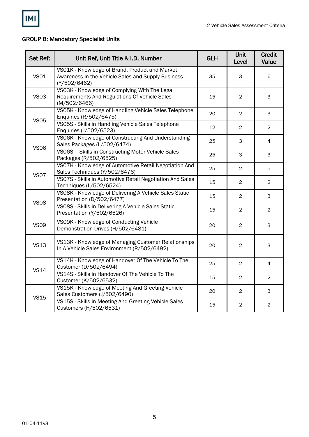

### GROUP B: Mandatory Specialist Units

| Set Ref:    | Unit Ref, Unit Title & I.D. Number                                                                                   | <b>GLH</b> | Unit<br>Level  | <b>Credit</b><br>Value |
|-------------|----------------------------------------------------------------------------------------------------------------------|------------|----------------|------------------------|
| <b>VS01</b> | VS01K - Knowledge of Brand, Product and Market<br>Awareness in the Vehicle Sales and Supply Business<br>(Y/502/6462) | 35         | 3              | 6                      |
| <b>VS03</b> | VS03K - Knowledge of Complying With The Legal<br>Requirements And Regulations Of Vehicle Sales<br>(M/502/6466)       | 15         | $\overline{2}$ | $\mathsf{3}$           |
| <b>VS05</b> | VS05K - Knowledge of Handling Vehicle Sales Telephone<br>Enquiries (R/502/6475)                                      | 20         | $\overline{2}$ | 3                      |
|             | VS05S - Skills in Handling Vehicle Sales Telephone<br>Enquiries (J/502/6523)                                         | 12         | $\overline{2}$ | $\overline{2}$         |
| <b>VS06</b> | VS06K - Knowledge of Constructing And Understanding<br>Sales Packages (L/502/6474)                                   | 25         | 3              | 4                      |
|             | VS06S - Skills in Constructing Motor Vehicle Sales<br>Packages (R/502/6525)                                          | 25         | 3              | 3                      |
| <b>VS07</b> | VS07K - Knowledge of Automotive Retail Negotiation And<br>Sales Techniques (Y/502/6476)                              | 25         | $\overline{2}$ | 5                      |
|             | VS07S - Skills in Automotive Retail Negotiation And Sales<br>Techniques (L/502/6524)                                 | 15         | $\overline{2}$ | $\overline{2}$         |
|             | VS08K - Knowledge of Delivering A Vehicle Sales Static<br>Presentation (D/502/6477)                                  | 15         | $\overline{c}$ | 3                      |
| <b>VS08</b> | VS08S - Skills in Delivering A Vehicle Sales Static<br>Presentation (Y/502/6526)                                     | 15         | $\overline{2}$ | $\overline{2}$         |
| <b>VS09</b> | VS09K - Knowledge of Conducting Vehicle<br>Demonstration Drives (H/502/6481)                                         | 20         | $\overline{2}$ | 3                      |
| <b>VS13</b> | VS13K - Knowledge of Managing Customer Relationships<br>In A Vehicle Sales Environment (R/502/6492)                  | 20         | $\overline{c}$ | $\mathsf 3$            |
| <b>VS14</b> | VS14K - Knowledge of Handover Of The Vehicle To The<br>Customer (D/502/6494)                                         | 25         | $\overline{2}$ | $\overline{4}$         |
|             | VS14S - Skills in Handover Of The Vehicle To The<br>Customer (K/502/6532)                                            | 15         | 2              | $\overline{2}$         |
| <b>VS15</b> | VS15K - Knowledge of Meeting And Greeting Vehicle<br>Sales Customers (J/502/6490)                                    | 20         | $\overline{c}$ | $\mathsf{3}$           |
|             | VS15S - Skills in Meeting And Greeting Vehicle Sales<br>Customers (H/502/6531)                                       | 15         | $\overline{c}$ | $\overline{2}$         |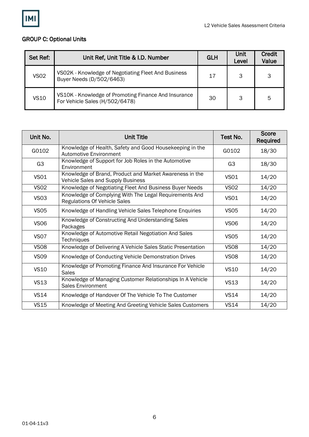

### GROUP C: Optional Units

| Set Ref:    | Unit Ref, Unit Title & I.D. Number                                                     | <b>GLH</b> | Unit<br>Level | <b>Credit</b><br>Value |
|-------------|----------------------------------------------------------------------------------------|------------|---------------|------------------------|
| <b>VS02</b> | VS02K - Knowledge of Negotiating Fleet And Business<br>Buyer Needs (D/502/6463)        | 17         | 3             | 3                      |
| <b>VS10</b> | VS10K - Knowledge of Promoting Finance And Insurance<br>For Vehicle Sales (H/502/6478) | 30         | 3             | 5                      |

| Unit No.       | <b>Unit Title</b>                                                                             | Test No.         | <b>Score</b><br>Required |
|----------------|-----------------------------------------------------------------------------------------------|------------------|--------------------------|
| G0102          | Knowledge of Health, Safety and Good Housekeeping in the<br>Automotive Environment            | G0102            | 18/30                    |
| G <sub>3</sub> | Knowledge of Support for Job Roles in the Automotive<br>Environment                           | G <sub>3</sub>   | 18/30                    |
| <b>VS01</b>    | Knowledge of Brand, Product and Market Awareness in the<br>Vehicle Sales and Supply Business  | <b>VS01</b>      | 14/20                    |
| <b>VS02</b>    | Knowledge of Negotiating Fleet And Business Buyer Needs                                       | <b>VS02</b>      | 14/20                    |
| <b>VS03</b>    | Knowledge of Complying With The Legal Requirements And<br><b>Regulations Of Vehicle Sales</b> | <b>VS01</b>      | 14/20                    |
| <b>VS05</b>    | Knowledge of Handling Vehicle Sales Telephone Enquiries                                       | <b>VS05</b>      | 14/20                    |
| <b>VS06</b>    | Knowledge of Constructing And Understanding Sales<br>Packages                                 | <b>VS06</b>      | 14/20                    |
| <b>VS07</b>    | Knowledge of Automotive Retail Negotiation And Sales<br><b>Techniques</b>                     | <b>VS05</b>      | 14/20                    |
| <b>VS08</b>    | Knowledge of Delivering A Vehicle Sales Static Presentation                                   | <b>VS08</b>      | 14/20                    |
| <b>VS09</b>    | Knowledge of Conducting Vehicle Demonstration Drives                                          | VS <sub>08</sub> | 14/20                    |
| <b>VS10</b>    | Knowledge of Promoting Finance And Insurance For Vehicle<br><b>Sales</b>                      | <b>VS10</b>      | 14/20                    |
| <b>VS13</b>    | Knowledge of Managing Customer Relationships In A Vehicle<br><b>Sales Environment</b>         | <b>VS13</b>      | 14/20                    |
| <b>VS14</b>    | Knowledge of Handover Of The Vehicle To The Customer                                          | <b>VS14</b>      | 14/20                    |
| <b>VS15</b>    | Knowledge of Meeting And Greeting Vehicle Sales Customers                                     | <b>VS14</b>      | 14/20                    |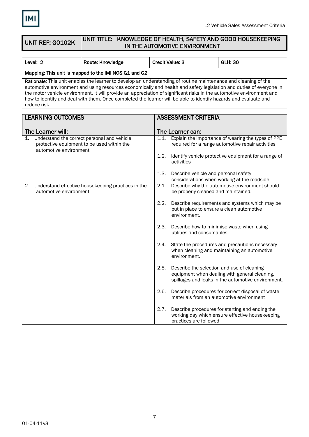

#### UNIT REF: G0102K UNIT TITLE: KNOWLEDGE OF HEALTH, SAFETY AND GOOD HOUSEKEEPING IN THE AUTOMOTIVE ENVIRONMENT

| Level: 2                                                                                                                                                                                                                                                                                                                                                                                                                                                                                            | Route: Knowledge | <b>Credit Value: 3</b> | <b>GLH: 30</b> |  |  |
|-----------------------------------------------------------------------------------------------------------------------------------------------------------------------------------------------------------------------------------------------------------------------------------------------------------------------------------------------------------------------------------------------------------------------------------------------------------------------------------------------------|------------------|------------------------|----------------|--|--|
| Mapping: This unit is mapped to the IMI NOS G1 and G2                                                                                                                                                                                                                                                                                                                                                                                                                                               |                  |                        |                |  |  |
| Rationale: This unit enables the learner to develop an understanding of routine maintenance and cleaning of the<br>automotive environment and using resources economically and health and safety legislation and duties of everyone in<br>the motor vehicle environment. It will provide an appreciation of significant risks in the automotive environment and<br>how to identify and deal with them. Once completed the learner will be able to identify hazards and evaluate and<br>reduce risk. |                  |                        |                |  |  |
| <b>I FADNINIO OLITOOMED</b>                                                                                                                                                                                                                                                                                                                                                                                                                                                                         |                  | ACCECCALENT CONTEDIA   |                |  |  |

| LEARNING OUTCOMES                                                                                                                     | ASSESSMENT CRITERIA                                                                                                                                       |  |  |
|---------------------------------------------------------------------------------------------------------------------------------------|-----------------------------------------------------------------------------------------------------------------------------------------------------------|--|--|
| The Learner will:                                                                                                                     | The Learner can:                                                                                                                                          |  |  |
| Understand the correct personal and vehicle<br>$\mathbf{1}$ .<br>protective equipment to be used within the<br>automotive environment | 1.1.<br>Explain the importance of wearing the types of PPE<br>required for a range automotive repair activities                                           |  |  |
|                                                                                                                                       | Identify vehicle protective equipment for a range of<br>1.2.<br>activities                                                                                |  |  |
|                                                                                                                                       | Describe vehicle and personal safety<br>1.3.<br>considerations when working at the roadside                                                               |  |  |
| Understand effective housekeeping practices in the<br>2.<br>automotive environment                                                    | 2.1.<br>Describe why the automotive environment should<br>be properly cleaned and maintained.                                                             |  |  |
|                                                                                                                                       | 2.2.<br>Describe requirements and systems which may be<br>put in place to ensure a clean automotive<br>environment.                                       |  |  |
|                                                                                                                                       | 2.3.<br>Describe how to minimise waste when using<br>utilities and consumables                                                                            |  |  |
|                                                                                                                                       | State the procedures and precautions necessary<br>2.4.<br>when cleaning and maintaining an automotive<br>environment.                                     |  |  |
|                                                                                                                                       | Describe the selection and use of cleaning<br>2.5.<br>equipment when dealing with general cleaning,<br>spillages and leaks in the automotive environment. |  |  |
|                                                                                                                                       | Describe procedures for correct disposal of waste<br>2.6.<br>materials from an automotive environment                                                     |  |  |
|                                                                                                                                       | Describe procedures for starting and ending the<br>2.7.<br>working day which ensure effective housekeeping<br>practices are followed                      |  |  |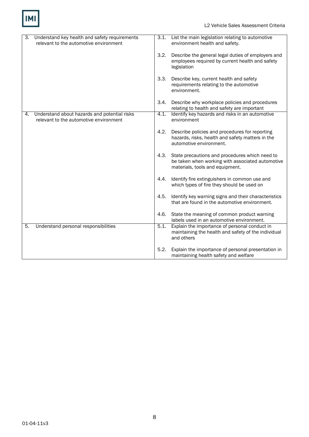

| 3. | Understand key health and safety requirements<br>relevant to the automotive environment | 3.1. | List the main legislation relating to automotive<br>environment health and safety.                                                    |
|----|-----------------------------------------------------------------------------------------|------|---------------------------------------------------------------------------------------------------------------------------------------|
|    |                                                                                         | 3.2. | Describe the general legal duties of employers and<br>employees required by current health and safety<br>legislation                  |
|    |                                                                                         | 3.3. | Describe key, current health and safety<br>requirements relating to the automotive<br>environment.                                    |
|    |                                                                                         | 3.4. | Describe why workplace policies and procedures<br>relating to health and safety are important                                         |
| 4. | Understand about hazards and potential risks<br>relevant to the automotive environment  | 4.1. | Identify key hazards and risks in an automotive<br>environment                                                                        |
|    |                                                                                         | 4.2. | Describe policies and procedures for reporting<br>hazards, risks, health and safety matters in the<br>automotive environment.         |
|    |                                                                                         | 4.3. | State precautions and procedures which need to<br>be taken when working with associated automotive<br>materials, tools and equipment. |
|    |                                                                                         | 4.4. | Identify fire extinguishers in common use and<br>which types of fire they should be used on                                           |
|    |                                                                                         | 4.5. | Identify key warning signs and their characteristics<br>that are found in the automotive environment.                                 |
|    |                                                                                         | 4.6. | State the meaning of common product warning<br>labels used in an automotive environment.                                              |
| 5. | Understand personal responsibilities                                                    | 5.1. | Explain the importance of personal conduct in<br>maintaining the health and safety of the individual<br>and others                    |
|    |                                                                                         | 5.2. | Explain the importance of personal presentation in<br>maintaining health safety and welfare                                           |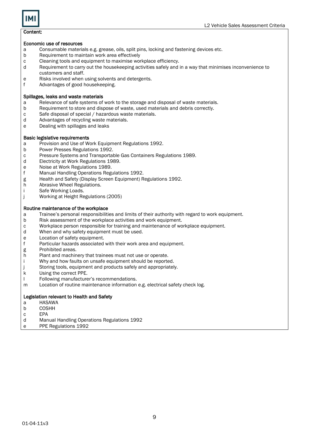### Content:

### Economic use of resources

- a Consumable materials e.g. grease, oils, split pins, locking and fastening devices etc.
- b Requirement to maintain work area effectively
- c Cleaning tools and equipment to maximise workplace efficiency.<br>
d Requirement to carry out the housekeeping activities safely and
- Requirement to carry out the housekeeping activities safely and in a way that minimises inconvenience to customers and staff.
- e Risks involved when using solvents and detergents.
- f Advantages of good housekeeping.

### Spillages, leaks and waste materials

- a Relevance of safe systems of work to the storage and disposal of waste materials.
- b Requirement to store and dispose of waste, used materials and debris correctly.
- c Safe disposal of special / hazardous waste materials.<br>d Advantages of recycling waste materials.
- Advantages of recycling waste materials.
- e Dealing with spillages and leaks

### Basic legislative requirements

- a Provision and Use of Work Equipment Regulations 1992.
- b Power Presses Regulations 1992.
- c Pressure Systems and Transportable Gas Containers Regulations 1989.
- d Electricity at Work Regulations 1989.
- e Noise at Work Regulations 1989.
- f Manual Handling Operations Regulations 1992.
- g Health and Safety (Display Screen Equipment) Regulations 1992.
- h Abrasive Wheel Regulations.
- i Safe Working Loads.
- j Working at Height Regulations (2005)

### Routine maintenance of the workplace

- a Trainee's personal responsibilities and limits of their authority with regard to work equipment.
- b Risk assessment of the workplace activities and work equipment.
- c Workplace person responsible for training and maintenance of workplace equipment.
- When and why safety equipment must be used.
- e Location of safety equipment.<br>f Particular hazards associated
- Particular hazards associated with their work area and equipment.
- g Prohibited areas.
- h Plant and machinery that trainees must not use or operate.
- i Why and how faults on unsafe equipment should be reported.
- j Storing tools, equipment and products safely and appropriately.
- k Using the correct PPE.
- l Following manufacturer's recommendations.
- m Location of routine maintenance information e.g. electrical safety check log.

### Legislation relevant to Health and Safety

- a HASAWA
- b COSHH
- c EPA
- d Manual Handling Operations Regulations 1992
- e PPE Regulations 1992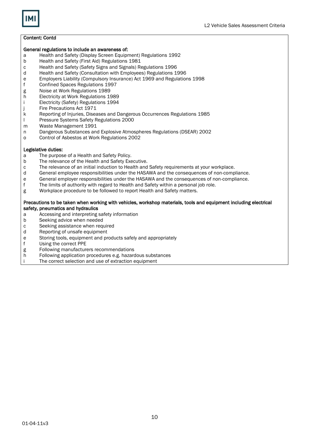### Content: Contd

#### General regulations to include an awareness of:

- a Health and Safety (Display Screen Equipment) Regulations 1992
- b Health and Safety (First Aid) Regulations 1981
- c Health and Safety (Safety Signs and Signals) Regulations 1996
- Health and Safety (Consultation with Employees) Regulations 1996
- e Employers Liability (Compulsory Insurance) Act 1969 and Regulations 1998
- Confined Spaces Regulations 1997
- g Noise at Work Regulations 1989<br>h Electricity at Work Regulations 1
- **Electricity at Work Regulations 1989**
- i Electricity (Safety) Regulations 1994
- j Fire Precautions Act 1971
- k Reporting of Injuries, Diseases and Dangerous Occurrences Regulations 1985
- l Pressure Systems Safety Regulations 2000
- m Waste Management 1991
- n Dangerous Substances and Explosive Atmospheres Regulations (DSEAR) 2002
- o Control of Asbestos at Work Regulations 2002

#### Legislative duties:

- a The purpose of a Health and Safety Policy.
- b The relevance of the Health and Safety Executive.
- c The relevance of an initial induction to Health and Safety requirements at your workplace.
- d General employee responsibilities under the HASAWA and the consequences of non-compliance.
- e General employer responsibilities under the HASAWA and the consequences of non-compliance.<br>
f The limits of authority with regard to Health and Safety within a personal job role.
- f The limits of authority with regard to Health and Safety within a personal job role.<br>g Workplace procedure to be followed to report Health and Safety matters.
- Workplace procedure to be followed to report Health and Safety matters.

#### Precautions to be taken when working with vehicles, workshop materials, tools and equipment including electrical safety[, pneumatics](http://en.wikipedia.org/wiki/Pneumatics) and hydraulics

- a Accessing and interpreting safety information
- b Seeking advice when needed
- c Seeking assistance when required<br>d Reporting of unsafe equipment
- Reporting of unsafe equipment
- e Storing tools, equipment and products safely and appropriately
- Using the correct PPE
- g Following manufacturers recommendations<br>h Following application procedures e.g. hazard
- Following application procedures e.g. hazardous substances
- i The correct selection and use of extraction equipment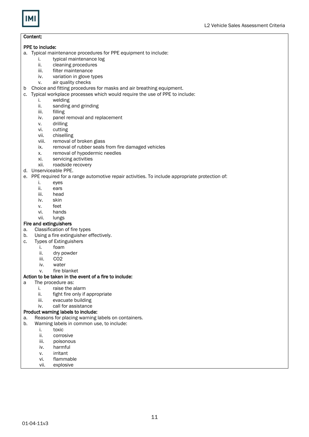

### Content:

### PPE to include:

- a. Typical maintenance procedures for PPE equipment to include:
	- i. typical maintenance log<br>ii. cleaning procedures
	- ii. cleaning procedures<br>iii. filter maintenance
	- iii. filter maintenance<br>iv. variation in glove t
	- variation in glove types
	- v. air quality checks
- b Choice and fitting procedures for masks and air breathing equipment.
- c. Typical workplace processes which would require the use of PPE to include:
	- i. welding
	- ii. sanding and grinding
	- iii. filling
	- iv. panel removal and replacement
	- v. drilling
	- vi. cutting
	- vii. chiselling
	- viii. removal of broken glass
	- ix. removal of rubber seals from fire damaged vehicles
	- x. removal of hypodermic needles
	- xi. servicing activities
	- xii. roadside recovery
- d. Unserviceable PPE.
- e. PPE required for a range automotive repair activities. To include appropriate protection of:
	- i. eyes
	- ii. ears
	- iii. head
	- iv. skin
	- v. feet
	- vi. hands
	- vii. lungs

### Fire and extinguishers

- a. Classification of fire types
- b. Using a fire extinguisher effectively.
- c. Types of Extinguishers
	- i. foam
	- ii. dry powder
	- iii. CO2
	- iv. water
	- v. fire blanket

### Action to be taken in the event of a fire to include:

- a The procedure as:
	- i. raise the alarm
		- ii. fight fire only if appropriate
		- iii. evacuate building
		- iv. call for assistance

### Product warning labels to include:

- a. Reasons for placing warning labels on containers.
- b. Warning labels in common use, to include:
	- i. toxic
	- ii. corrosive
	- iii. poisonous
	- iv. harmful
	- v. irritant
	- vi. flammable
	- vii. explosive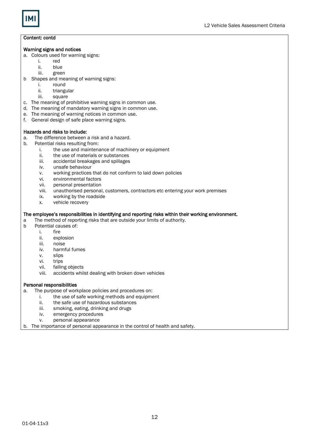

### Content: contd

### Warning signs and notices

- a. Colours used for warning signs:
	- i. red<br>ii. blue
	- ii. blue
	- green
- b Shapes and meaning of warning signs:
	- i. round<br>ii. triang
	- ii. triangular<br>iii. square
	- square
- c. The meaning of prohibitive warning signs in common use.
- d. The meaning of mandatory warning signs in common use.
- e. The meaning of warning notices in common use.
- f. General design of safe place warning signs.

### Hazards and risks to include:

- a. The difference between a risk and a hazard.
- b. Potential risks resulting from:
	- i. the use and maintenance of machinery or equipment
	- ii. the use of materials or substances
	- iii. accidental breakages and spillages
	- iv. unsafe behaviour
	- v. working practices that do not conform to laid down policies
	- vi. environmental factors
	- vii. personal presentation
	- viii. unauthorised personal, customers, contractors etc entering your work premises
	- ix. working by the roadside
	- x. vehicle recovery

### The employee's responsibilities in identifying and reporting risks within their working environment.

- a The method of reporting risks that are outside your limits of authority.
- b Potential causes of:
	- i. fire<br>ii. exp
		- explosion
		- iii. noise
		- iv. harmful fumes
		- v. slips
		- vi. trips
		- vii. falling objects
		- viii. accidents whilst dealing with broken down vehicles

### Personal responsibilities

- a. The purpose of workplace policies and procedures on:
	- i. the use of safe working methods and equipment
		- ii. the safe use of hazardous substances
		- iii. smoking, eating, drinking and drugs
		- iv. emergency procedures
		- v. personal appearance
- b. The importance of personal appearance in the control of health and safety.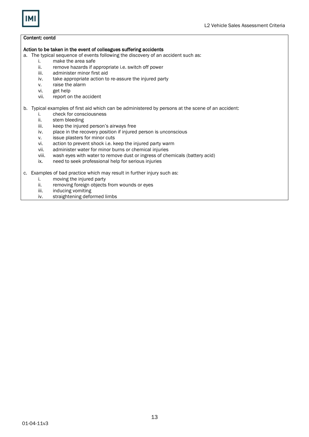

### Content: contd

#### Action to be taken in the event of colleagues suffering accidents

- a. The typical sequence of events following the discovery of an accident such as:<br>i. make the area safe
	- i. make the area safe<br>ii. remove hazards if a
	- ii. remove hazards if appropriate i.e. switch off power<br>iii. administer minor first aid
	- administer minor first aid
	- iv. take appropriate action to re-assure the injured party
	- v. raise the alarm<br>vi. get help
	- vi. get help<br>vii. report of
	- report on the accident

### b. Typical examples of first aid which can be administered by persons at the scene of an accident:

- i. check for consciousness<br>ii. stem bleeding
- ii. stem bleeding<br>iii. keep the injure
- keep the injured person's airways free
- iv. place in the recovery position if injured person is unconscious
- v. issue plasters for minor cuts
- vi. action to prevent shock i.e. keep the injured party warm
- vii. administer water for minor burns or chemical injuries
- viii. wash eyes with water to remove dust or ingress of chemicals (battery acid)
- ix. need to seek professional help for serious injuries

c. Examples of bad practice which may result in further injury such as:

- i. moving the injured party
- ii. removing foreign objects from wounds or eyes<br>iii. inducing vomiting
- inducing vomiting
- iv. straightening deformed limbs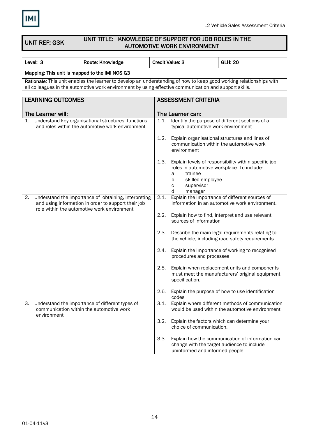

UNIT REF: G3K

### UNIT TITLE: KNOWLEDGE OF SUPPORT FOR JOB ROLES IN THE AUTOMOTIVE WORK ENVIRONMENT

| Level: 3                                               | Route: Knowledge                                                                                                                                                                                                              |      | <b>Credit Value: 3</b>                                                                                                 | <b>GLH: 20</b>                                                                                      |  |
|--------------------------------------------------------|-------------------------------------------------------------------------------------------------------------------------------------------------------------------------------------------------------------------------------|------|------------------------------------------------------------------------------------------------------------------------|-----------------------------------------------------------------------------------------------------|--|
| Mapping: This unit is mapped to the IMI NOS G3         |                                                                                                                                                                                                                               |      |                                                                                                                        |                                                                                                     |  |
|                                                        | Rationale: This unit enables the learner to develop an understanding of how to keep good working relationships with<br>all colleagues in the automotive work environment by using effective communication and support skills. |      |                                                                                                                        |                                                                                                     |  |
| <b>LEARNING OUTCOMES</b><br><b>ASSESSMENT CRITERIA</b> |                                                                                                                                                                                                                               |      |                                                                                                                        |                                                                                                     |  |
| The Learner will:                                      |                                                                                                                                                                                                                               |      | The Learner can:                                                                                                       |                                                                                                     |  |
| 1.                                                     | Understand key organisational structures, functions<br>and roles within the automotive work environment                                                                                                                       | 1.1. | typical automotive work environment                                                                                    | Identify the purpose of different sections of a                                                     |  |
|                                                        |                                                                                                                                                                                                                               | 1.2. | environment                                                                                                            | Explain organisational structures and lines of<br>communication within the automotive work          |  |
|                                                        |                                                                                                                                                                                                                               | 1.3. | roles in automotive workplace. To include:<br>trainee<br>а<br>skilled employee<br>b<br>supervisor<br>С<br>manager<br>d | Explain levels of responsibility within specific job                                                |  |
| 2.                                                     | Understand the importance of obtaining, interpreting<br>and using information in order to support their job<br>role within the automotive work environment                                                                    | 2.1. |                                                                                                                        | Explain the importance of different sources of<br>information in an automotive work environment.    |  |
|                                                        |                                                                                                                                                                                                                               | 2.2. | sources of information                                                                                                 | Explain how to find, interpret and use relevant                                                     |  |
|                                                        |                                                                                                                                                                                                                               | 2.3. |                                                                                                                        | Describe the main legal requirements relating to<br>the vehicle, including road safety requirements |  |
|                                                        |                                                                                                                                                                                                                               | 2.4. | procedures and processes                                                                                               | Explain the importance of working to recognised                                                     |  |
|                                                        |                                                                                                                                                                                                                               | 2.5. | specification.                                                                                                         | Explain when replacement units and components<br>must meet the manufacturers' original equipment    |  |
|                                                        |                                                                                                                                                                                                                               | 2.6. | codes                                                                                                                  | Explain the purpose of how to use identification                                                    |  |
| 3.<br>environment                                      | Understand the importance of different types of<br>communication within the automotive work                                                                                                                                   | 3.1. |                                                                                                                        | Explain where different methods of communication<br>would be used within the automotive environment |  |
|                                                        |                                                                                                                                                                                                                               | 3.2. | choice of communication.                                                                                               | Explain the factors which can determine your                                                        |  |
|                                                        |                                                                                                                                                                                                                               | 3.3. | change with the target audience to include<br>uninformed and informed people                                           | Explain how the communication of information can                                                    |  |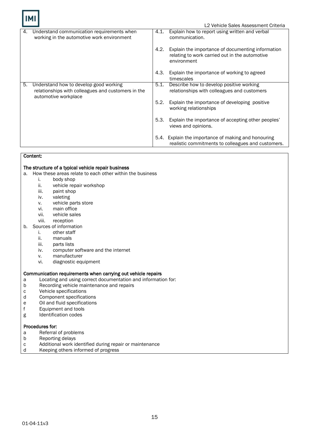|    |                                                                                                                      |      | L2 Vehicle Sales Assessment Criteria                                                                               |  |  |  |
|----|----------------------------------------------------------------------------------------------------------------------|------|--------------------------------------------------------------------------------------------------------------------|--|--|--|
| 4. | Understand communication requirements when<br>working in the automotive work environment                             | 4.1. | Explain how to report using written and verbal<br>communication.                                                   |  |  |  |
|    |                                                                                                                      | 4.2. | Explain the importance of documenting information<br>relating to work carried out in the automotive<br>environment |  |  |  |
|    |                                                                                                                      | 4.3. | Explain the importance of working to agreed<br>timescales                                                          |  |  |  |
| 5. | Understand how to develop good working<br>relationships with colleagues and customers in the<br>automotive workplace | 5.1. | Describe how to develop positive working<br>relationships with colleagues and customers                            |  |  |  |
|    |                                                                                                                      | 5.2. | Explain the importance of developing positive<br>working relationships                                             |  |  |  |
|    |                                                                                                                      | 5.3. | Explain the importance of accepting other peoples'<br>views and opinions.                                          |  |  |  |
|    |                                                                                                                      | 5.4. | Explain the importance of making and honouring<br>realistic commitments to colleagues and customers.               |  |  |  |

### Content:

### The structure of a typical vehicle repair business

a. How these areas relate to each other within the business i. body shop

- i. body shop<br>ii. vehicle rep
	- ii. vehicle repair workshop<br>iii. paint shop
	- paint shop
	- iv. valeting
	- v. vehicle parts store
	- vi. main office<br>vii. vehicle sale
	- vii. vehicle sales<br>viii. reception
	- reception
- b. Sources of information
	- i. other staff
	- ii. manuals
	- iii. parts lists
	- iv. computer software and the internet
	- v. manufacturer
	- vi. diagnostic equipment

### Communication requirements when carrying out vehicle repairs

- a Locating and using correct documentation and information for:
- b Recording vehicle maintenance and repairs
- c Vehicle specifications
- d Component specifications
- e Oil and fluid specifications
- f Equipment and tools
- g Identification codes

### Procedures for:

- a Referral of problems<br>b Reporting delays
- Reporting delays
- c Additional work identified during repair or maintenance<br>d Keeping others informed of progress
- Keeping others informed of progress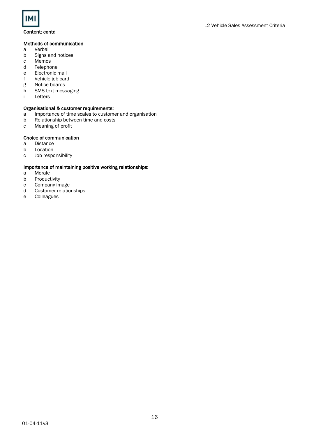

### Content: contd

### Methods of communication

- a Verbal
- b Signs and notices<br>c Memos
- c Memos<br>d Telepho
- d Telephone<br>e Electronic
- e Electronic mail<br>f Vehicle iob card
- f Vehicle job card<br>g Notice boards
- g Notice boards<br>h SMS text mess
- h SMS text messaging
- **Letters**

### Organisational & customer requirements:

- a Importance of time scales to customer and organisation<br>b Relationship between time and costs
- b Relationship between time and costs<br>c Meaning of profit
- Meaning of profit

### Choice of communication

- a Distance
- b Location
- c Job responsibility

### Importance of maintaining positive working relationships:

- a Morale
- b Productivity<br>c Company in
- c Company image<br>d Customer relatio
- d Customer relationships
- **Colleagues**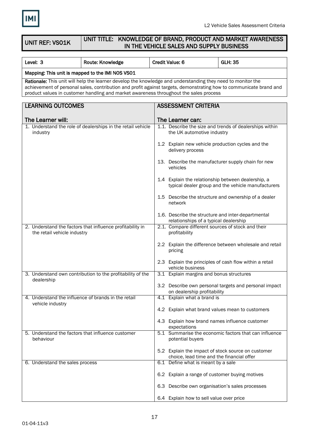

UNIT REF: VS01K

### UNIT TITLE: KNOWLEDGE OF BRAND, PRODUCT AND MARKET AWARENESS IN THE VEHICLE SALES AND SUPPLY BUSINESS

| Level: 3                                                                                                                                                                                                                                                                                                                   | Route: Knowledge                                            |                                                                    | <b>Credit Value: 6</b>                                                                      | <b>GLH: 35</b>                                          |  |
|----------------------------------------------------------------------------------------------------------------------------------------------------------------------------------------------------------------------------------------------------------------------------------------------------------------------------|-------------------------------------------------------------|--------------------------------------------------------------------|---------------------------------------------------------------------------------------------|---------------------------------------------------------|--|
| Mapping: This unit is mapped to the IMI NOS VS01                                                                                                                                                                                                                                                                           |                                                             |                                                                    |                                                                                             |                                                         |  |
| Rationale: This unit will help the learner develop the knowledge and understanding they need to monitor the<br>achievement of personal sales, contribution and profit against targets, demonstrating how to communicate brand and<br>product values in customer handling and market awareness throughout the sales process |                                                             |                                                                    |                                                                                             |                                                         |  |
| <b>LEARNING OUTCOMES</b>                                                                                                                                                                                                                                                                                                   |                                                             | <b>ASSESSMENT CRITERIA</b>                                         |                                                                                             |                                                         |  |
| The Learner will:                                                                                                                                                                                                                                                                                                          |                                                             |                                                                    | The Learner can:                                                                            |                                                         |  |
| industry                                                                                                                                                                                                                                                                                                                   | 1. Understand the role of dealerships in the retail vehicle |                                                                    | the UK automotive industry                                                                  | 1.1. Describe the size and trends of dealerships within |  |
|                                                                                                                                                                                                                                                                                                                            |                                                             |                                                                    | 1.2 Explain new vehicle production cycles and the<br>delivery process                       |                                                         |  |
|                                                                                                                                                                                                                                                                                                                            |                                                             |                                                                    | vehicles                                                                                    | 13. Describe the manufacturer supply chain for new      |  |
|                                                                                                                                                                                                                                                                                                                            |                                                             |                                                                    | 1.4 Explain the relationship between dealership, a                                          | typical dealer group and the vehicle manufacturers      |  |
|                                                                                                                                                                                                                                                                                                                            |                                                             |                                                                    | network                                                                                     | 1.5 Describe the structure and ownership of a dealer    |  |
|                                                                                                                                                                                                                                                                                                                            |                                                             |                                                                    | 1.6. Describe the structure and inter-departmental<br>relationships of a typical dealership |                                                         |  |
| the retail vehicle industry                                                                                                                                                                                                                                                                                                | 2. Understand the factors that influence profitability in   | 2.1. Compare different sources of stock and their<br>profitability |                                                                                             |                                                         |  |
|                                                                                                                                                                                                                                                                                                                            |                                                             |                                                                    | pricing                                                                                     | 2.2 Explain the difference between wholesale and retail |  |
|                                                                                                                                                                                                                                                                                                                            |                                                             |                                                                    | vehicle business                                                                            | 2.3 Explain the principles of cash flow within a retail |  |
| dealership                                                                                                                                                                                                                                                                                                                 | 3. Understand own contribution to the profitability of the  |                                                                    | 3.1 Explain margins and bonus structures                                                    |                                                         |  |
|                                                                                                                                                                                                                                                                                                                            |                                                             |                                                                    | on dealership profitability                                                                 | 3.2 Describe own personal targets and personal impact   |  |
| 4. Understand the influence of brands in the retail<br>vehicle industry                                                                                                                                                                                                                                                    |                                                             |                                                                    | 4.1 Explain what a brand is                                                                 |                                                         |  |
|                                                                                                                                                                                                                                                                                                                            |                                                             |                                                                    | 4.2 Explain what brand values mean to customers                                             |                                                         |  |
|                                                                                                                                                                                                                                                                                                                            |                                                             |                                                                    | 4.3 Explain how brand names influence customer<br>expectations                              |                                                         |  |
| 5. Understand the factors that influence customer<br>behaviour                                                                                                                                                                                                                                                             |                                                             |                                                                    | potential buyers                                                                            | 5.1 Summarise the economic factors that can influence   |  |
|                                                                                                                                                                                                                                                                                                                            |                                                             |                                                                    | choice, lead time and the financial offer                                                   | 5.2 Explain the impact of stock source on customer      |  |
| 6. Understand the sales process                                                                                                                                                                                                                                                                                            |                                                             |                                                                    | 6.1 Define what is meant by a sale                                                          |                                                         |  |
|                                                                                                                                                                                                                                                                                                                            |                                                             |                                                                    | 6.2 Explain a range of customer buying motives                                              |                                                         |  |
|                                                                                                                                                                                                                                                                                                                            |                                                             |                                                                    | 6.3 Describe own organisation's sales processes                                             |                                                         |  |
|                                                                                                                                                                                                                                                                                                                            |                                                             |                                                                    | 6.4 Explain how to sell value over price                                                    |                                                         |  |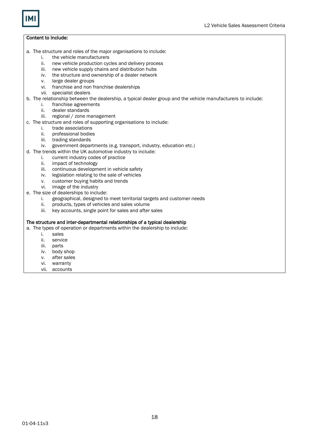

- a. The structure and roles of the major organisations to include:
	- i. the vehicle manufacturers
	- ii. new vehicle production cycles and delivery process
	- iii. new vehicle supply chains and distribution hubs
	- iv. the structure and ownership of a dealer network
	- v. large dealer groups
	- vi. franchise and non franchise dealerships
	- vii. specialist dealers
- b. The relationship between the dealership, a typical dealer group and the vehicle manufacturers to include:
	- i. franchise agreements
	- ii. dealer standards
	- iii. regional / zone management
- c. The structure and roles of supporting organisations to include:
	- i. trade associations
	- ii. professional bodies
	- iii. trading standards
- iv. government departments (e.g. transport, industry, education etc.)
- d. The trends within the UK automotive industry to include:
	- i. current industry codes of practice
	- ii. impact of technology
	- iii. continuous development in vehicle safety
	- iv. legislation relating to the sale of vehicles
	- v. customer buying habits and trends
	- vi. image of the industry
- e. The size of dealerships to include:
	- i. geographical, designed to meet territorial targets and customer needs
	- ii. products, types of vehicles and sales volume
	- iii. key accounts, single point for sales and after sales

### The structure and inter-departmental relationships of a typical dealership

a. The types of operation or departments within the dealership to include:

- i. sales
	- ii. service
	- iii. parts
	- iv. body shop
	- v. after sales
- vi. warranty
- vii. accounts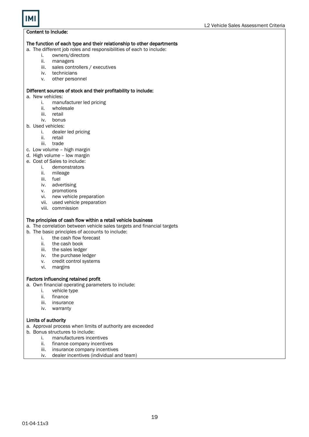### The function of each type and their relationship to other departments

a. The different job roles and responsibilities of each to include:

- i. owners/directors<br>ii. managers
- ii. managers
- sales controllers / executives
- iv. technicians
- v. other personnel

### Different sources of stock and their profitability to include:

- a. New vehicles:
	- i. manufacturer led pricing
	- ii. wholesale
	- iii. retail
	- iv. bonus
- b. Used vehicles:
	- i. dealer led pricing
	- ii. retail
	- iii. trade
- c. Low volume high margin
- d. High volume low margin
- e. Cost of Sales to include:
	- i. demonstrators
	- ii. mileage
	- iii. fuel
	- iv. advertising
	- v. promotions
	- vi. new vehicle preparation
	- vii. used vehicle preparation
	- viii. commission

### The principles of cash flow within a retail vehicle business

a. The correlation between vehicle sales targets and financial targets

- b. The basic principles of accounts to include:
	- i. the cash flow forecast
	- ii. the cash book
	- iii. the sales ledger
	- iv. the purchase ledger
	- v. credit control systems
	- vi. margins

### Factors influencing retained profit

- a. Own financial operating parameters to include:
	- i. vehicle type
	- ii. finance
	- iii. insurance
	- iv. warranty

### Limits of authority

a. Approval process when limits of authority are exceeded

- b. Bonus structures to include:
	- i. manufacturers incentives
	- ii. finance company incentives
	- iii. insurance company incentives
	- iv. dealer incentives (individual and team)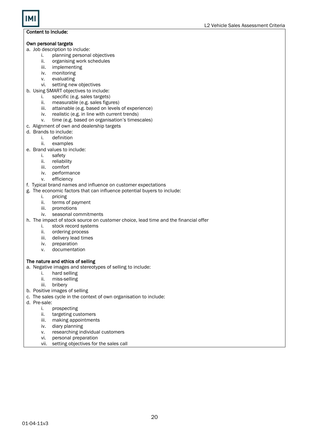### Own personal targets

- a. Job description to include:
	-
	- i. planning personal objectives<br>ii. organising work schedules organising work schedules
	-
	- iii. implementing<br>iv. monitoring monitoring
	- v. evaluating
	- vi. setting new objectives
- b. Using SMART objectives to include:<br>i. specific (e.g. sales targets)
	- specific (e.g. sales targets)
	- ii. measurable (e.g. sales figures)
	- iii. attainable (e.g. based on levels of experience)
	- iv. realistic (e.g. in line with current trends)
	- v. time (e.g. based on organisation's timescales)
- c. Alignment of own and dealership targets
- d. Brands to include:
	- i. definition
	- ii. examples
- e. Brand values to include:
	- i. safety
	- ii. reliability
	- iii. comfort
	- iv. performance
	- v. efficiency
- f. Typical brand names and influence on customer expectations
- g. The economic factors that can influence potential buyers to include:
	- i. pricing
		- ii. terms of payment
		- iii. promotions
		- iv. seasonal commitments
- h. The impact of stock source on customer choice, lead time and the financial offer
	- i. stock record systems
	- ii. ordering process
	- iii. delivery lead times
	- iv. preparation
	- v. documentation

### The nature and ethics of selling

- a. Negative images and stereotypes of selling to include:
	- i. hard selling
	- ii. miss-selling
	- iii. bribery
- b. Positive images of selling
- c. The sales cycle in the context of own organisation to include:
- d. Pre-sale:
	- i. prospecting
	- ii. targeting customers
	- iii. making appointments
	- iv. diary planning
	- v. researching individual customers
	- vi. personal preparation
	- vii. setting objectives for the sales call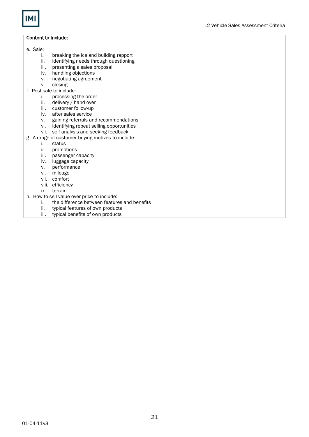

- e. Sale:
	- i. breaking the ice and building rapport<br>ii. identifying needs through questioning
	- ii. identifying needs through questioning<br>iii. presenting a sales proposal
	- presenting a sales proposal
	-
	- iv. handling objections<br>v. negotiating agreeme v. negotiating agreement<br>vi. closing
	- closing
- f. Post-sale to include:
	- i. processing the order
	- ii. delivery / hand over
	- iii. customer follow-up
	- iv. after sales service
	- v. gaining referrals and recommendations
	- vi. identifying repeat selling opportunities
	- vii. self analysis and seeking feedback
- g. A range of customer buying motives to include:
	- i. status
		- ii. promotions
		- iii. passenger capacity
		- iv. luggage capacity
		- v. performance
		- vi. mileage
		- vii. comfort
		- viii. efficiency
		- ix. terrain
- h. How to sell value over price to include:
	- i. the difference between features and benefits
	- ii. typical features of own products
	- iii. typical benefits of own products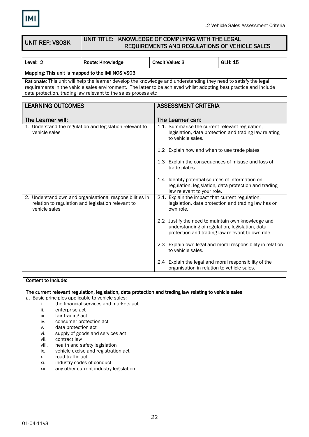

UNIT REF: VS03K

### UNIT TITLE: KNOWLEDGE OF COMPLYING WITH THE LEGAL REQUIREMENTS AND REGULATIONS OF VEHICLE SALES

| Level: 2                                                                                                                                                                                                                                                                                                  | Route: Knowledge                                                                                               |  | <b>Credit Value: 3</b>                                                         | <b>GLH: 15</b>                                                                                         |
|-----------------------------------------------------------------------------------------------------------------------------------------------------------------------------------------------------------------------------------------------------------------------------------------------------------|----------------------------------------------------------------------------------------------------------------|--|--------------------------------------------------------------------------------|--------------------------------------------------------------------------------------------------------|
| Mapping: This unit is mapped to the IMI NOS VS03                                                                                                                                                                                                                                                          |                                                                                                                |  |                                                                                |                                                                                                        |
| Rationale: This unit will help the learner develop the knowledge and understanding they need to satisfy the legal<br>requirements in the vehicle sales environment. The latter to be achieved whilst adopting best practice and include<br>data protection, trading law relevant to the sales process etc |                                                                                                                |  |                                                                                |                                                                                                        |
|                                                                                                                                                                                                                                                                                                           |                                                                                                                |  |                                                                                |                                                                                                        |
| <b>LEARNING OUTCOMES</b>                                                                                                                                                                                                                                                                                  |                                                                                                                |  | <b>ASSESSMENT CRITERIA</b>                                                     |                                                                                                        |
| The Learner will:                                                                                                                                                                                                                                                                                         |                                                                                                                |  | The Learner can:                                                               |                                                                                                        |
| vehicle sales                                                                                                                                                                                                                                                                                             | 1. Understand the regulation and legislation relevant to                                                       |  | 1.1. Summarise the current relevant regulation,<br>to vehicle sales.           | legislation, data protection and trading law relating                                                  |
|                                                                                                                                                                                                                                                                                                           |                                                                                                                |  | 1.2 Explain how and when to use trade plates                                   |                                                                                                        |
|                                                                                                                                                                                                                                                                                                           |                                                                                                                |  | trade plates.                                                                  | 1.3 Explain the consequences of misuse and loss of                                                     |
|                                                                                                                                                                                                                                                                                                           |                                                                                                                |  | 1.4 Identify potential sources of information on<br>law relevant to your role. | regulation, legislation, data protection and trading                                                   |
| vehicle sales                                                                                                                                                                                                                                                                                             | 2. Understand own and organisational responsibilities in<br>relation to regulation and legislation relevant to |  | 2.1. Explain the impact that current regulation,<br>own role.                  | legislation, data protection and trading law has on                                                    |
|                                                                                                                                                                                                                                                                                                           |                                                                                                                |  | understanding of regulation, legislation, data                                 | 2.2 Justify the need to maintain own knowledge and<br>protection and trading law relevant to own role. |
|                                                                                                                                                                                                                                                                                                           |                                                                                                                |  | to vehicle sales.                                                              | 2.3 Explain own legal and moral responsibility in relation                                             |
|                                                                                                                                                                                                                                                                                                           |                                                                                                                |  | organisation in relation to vehicle sales.                                     | 2.4 Explain the legal and moral responsibility of the                                                  |

### Content to Include:

The current relevant regulation, legislation, data protection and trading law relating to vehicle sales

a. Basic principles applicable to vehicle sales:

- i. the financial services and markets act<br>ii. enterprise act
- enterprise act
- iii. fair trading act
- iv. consumer protection act
- v. data protection act
- vi. supply of goods and services act
- vii. contract law
- viii. health and safety legislation
- ix. vehicle excise and registration act
- x. road traffic act
- xi. industry codes of conduct
- xii. any other current industry legislation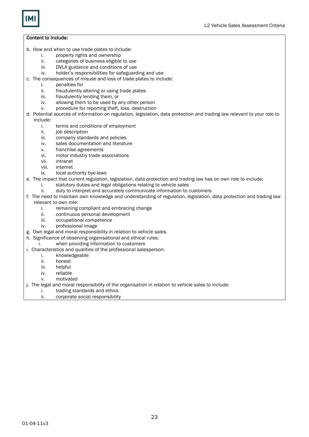- b. How and when to use trade plates to include:
	- i. property rights and ownership
	- ii. categories of business eligible to use<br>iii. DVLA guidance and conditions of use
	- DVLA guidance and conditions of use
	- iv. holder's responsibilities for safeguarding and use
- c. The consequences of misuse and loss of trade plates to include:
	- i. penalties for
	- ii. fraudulently altering or using trade plates
	- iii. fraudulently lending them, or
	- iv. allowing them to be used by any other person
	- v. procedure for reporting theft, loss, destruction
- d. Potential sources of information on regulation, legislation, data protection and trading law relevant to your role to include:
	- i. terms and conditions of employment
	- ii. job description
	- iii. company standards and policies<br>iv. sales documentation and literatu
	- sales documentation and literature
	- v. franchise agreements
	- vi. motor industry trade associations
	- vii. intranet
	- viii. internet
	- ix. local authority bye-laws
- e. The impact that current regulation, legislation, data protection and trading law has on own role to include:
	- i. statutory duties and legal obligations relating to vehicle sales
	- ii. duty to interpret and accurately communicate information to customers
- f. The need to maintain own knowledge and understanding of regulation, legislation, data protection and trading law relevant to own role:
	- i. remaining compliant and embracing change
	- ii. continuous personal development
	- iii. occupational competence
	- iv. professional image
- g. Own legal and moral responsibility in relation to vehicle sales.
- h. Significance of observing organisational and ethical rules:
	- i. when providing information to customers
- i. Characteristics and qualities of the professional salesperson:
	- i. knowledgeable
	- ii. honest
	- iii. helpful
	- iv. reliable
	- v. motivated
- j. The legal and moral responsibility of the organisation in relation to vehicle sales to include:
	- i. trading standards and ethics
	- ii. corporate social responsibility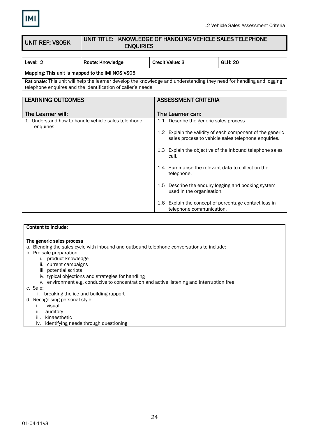

#### UNIT REF: VS05K UNIT TITLE: KNOWLEDGE OF HANDLING VEHICLE SALES TELEPHONE ENQUIRIES

| Level: 2                                                                                                                                                                                    | Route: Knowledge | <b>Credit Value: 3</b> | GLH: 20 |  |
|---------------------------------------------------------------------------------------------------------------------------------------------------------------------------------------------|------------------|------------------------|---------|--|
| Mapping: This unit is mapped to the IMI NOS VS05                                                                                                                                            |                  |                        |         |  |
| <b>Rationale:</b> This unit will help the learner develop the knowledge and understanding they need for handling and logging<br>telephone enquires and the identification of caller's needs |                  |                        |         |  |
| $\Box$ EADMINIA AUTOOMER<br><b>ACCECCALENT COUTEDIA</b>                                                                                                                                     |                  |                        |         |  |

| <b>LEARNING OUTCOMES</b>                                         | <b>ASSESSMENT CRITERIA</b>                                                                                       |
|------------------------------------------------------------------|------------------------------------------------------------------------------------------------------------------|
| The Learner will:                                                | The Learner can:                                                                                                 |
| 1. Understand how to handle vehicle sales telephone<br>enquiries | 1.1. Describe the generic sales process                                                                          |
|                                                                  | 1.2 Explain the validity of each component of the generic<br>sales process to vehicle sales telephone enquiries. |
|                                                                  | 1.3 Explain the objective of the inbound telephone sales<br>call.                                                |
|                                                                  | 1.4 Summarise the relevant data to collect on the<br>telephone.                                                  |
|                                                                  | 1.5 Describe the enquiry logging and booking system<br>used in the organisation.                                 |
|                                                                  | Explain the concept of percentage contact loss in<br>1.6<br>telephone communication.                             |

### Content to Include:

### The generic sales process

a. Blending the sales cycle with inbound and outbound telephone conversations to include:

- b. Pre-sale preparation:
	- i. product knowledge
	- ii. current campaigns
	- iii. potential scripts
	- iv. typical objections and strategies for handling
	- v. environment e.g. conducive to concentration and active listening and interruption free

c. Sale:

- i. breaking the ice and building rapport
- d. Recognising personal style:
	- i. visual
	- ii. auditory
	- iii. kinaesthetic
	- iv. identifying needs through questioning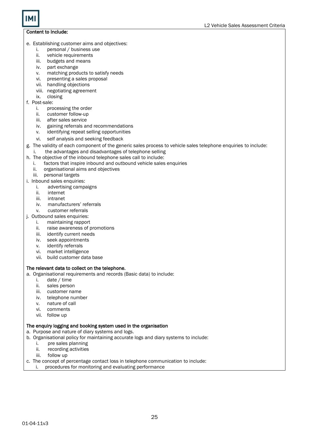- e. Establishing customer aims and objectives:
	- i. personal / business use
	- ii. vehicle requirements
	- iii. budgets and means
	- iv. part exchange
	- v. matching products to satisfy needs<br>vi. presenting a sales proposal
	- presenting a sales proposal
	- vii. handling objections
	- viii. negotiating agreement
	- ix. closing
- f. Post-sale:
	- i. processing the order
	- ii. customer follow-up
	- iii. after sales service
	- iv. gaining referrals and recommendations
	- v. identifying repeat selling opportunities
	- vi. self analysis and seeking feedback
- g. The validity of each component of the generic sales process to vehicle sales telephone enquiries to include:
- i. the advantages and disadvantages of telephone selling
- h. The objective of the inbound telephone sales call to include:
	- i. factors that inspire inbound and outbound vehicle sales enquiries
	- ii. organisational aims and objectives
	- iii. personal targets
- i. Inbound sales enquiries:
	- i. advertising campaigns
	- ii. internet
	- iii. intranet
	- iv. manufacturers' referrals
	- v. customer referrals
- j. Outbound sales enquiries:
	- i. maintaining rapport
	- ii. raise awareness of promotions
	- iii. identify current needs
	- iv. seek appointments
	- v. identify referrals
	- vi. market intelligence
	- vii. build customer data base

### The relevant data to collect on the telephone.

- a. Organisational requirements and records (Basic data) to include:
	- i. date / time
	- ii. sales person
	- iii. customer name
	- iv. telephone number
	- v. nature of call
	- vi. comments
	- vii. follow up

### The enquiry logging and booking system used in the organisation

a. Purpose and nature of diary systems and logs.

- b. Organisational policy for maintaining accurate logs and diary systems to include:
	- i. pre sales planning
	- ii. recording activities
	- iii. follow up
- c. The concept of percentage contact loss in telephone communication to include:
- i. procedures for monitoring and evaluating performance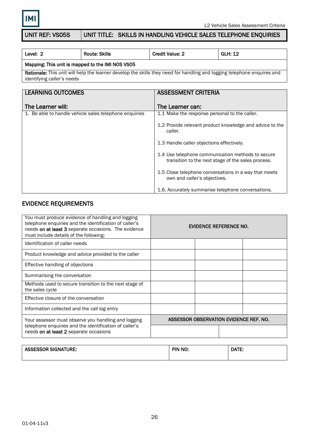

### UNIT REF: VS05S | UNIT TITLE: SKILLS IN HANDLING VEHICLE SALES TELEPHONE ENQUIRIES

| Level: 2                                                                                                                       | <b>Route: Skills</b> | <b>Credit Value: 2</b> | <b>GLH: 12</b> |  |
|--------------------------------------------------------------------------------------------------------------------------------|----------------------|------------------------|----------------|--|
| Mapping: This unit is mapped to the IMI NOS VSO5                                                                               |                      |                        |                |  |
| <b>Dationale:</b> This unit will help the learner develop the skills they need for handling and legging telephone enquires and |                      |                        |                |  |

Rationale: This unit will help the learner develop the skills they need for handling and logging telephone enquires and identifying caller's needs

| <b>LEARNING OUTCOMES</b>                               | <b>ASSESSMENT CRITERIA</b>                                                                              |
|--------------------------------------------------------|---------------------------------------------------------------------------------------------------------|
|                                                        |                                                                                                         |
| The Learner will:                                      | The Learner can:                                                                                        |
|                                                        |                                                                                                         |
| 1. Be able to handle vehicle sales telephone enquiries | 1.1 Make the response personal to the caller.                                                           |
|                                                        | 1.2 Provide relevant product knowledge and advice to the<br>caller.                                     |
|                                                        | 1.3 Handle caller objections effectively.                                                               |
|                                                        | 1.4 Use telephone communication methods to secure<br>transition to the next stage of the sales process. |
|                                                        | 1.5 Close telephone conversations in a way that meets<br>own and caller's objectives.                   |
|                                                        | 1.6. Accurately summarise telephone conversations.                                                      |

### EVIDENCE REQUIREMENTS

| You must produce evidence of handling and logging<br>telephone enquiries and the identification of caller's<br>needs on at least 3 separate occasions. The evidence<br>must include details of the following: | EVIDENCE REFERENCE NO. |  |                                        |
|---------------------------------------------------------------------------------------------------------------------------------------------------------------------------------------------------------------|------------------------|--|----------------------------------------|
| Identification of caller needs                                                                                                                                                                                |                        |  |                                        |
| Product knowledge and advice provided to the caller                                                                                                                                                           |                        |  |                                        |
| Effective handling of objections                                                                                                                                                                              |                        |  |                                        |
| Summarising the conversation                                                                                                                                                                                  |                        |  |                                        |
| Methods used to secure transition to the next stage of<br>the sales cycle                                                                                                                                     |                        |  |                                        |
| Effective closure of the conversation                                                                                                                                                                         |                        |  |                                        |
| Information collected and the call log entry                                                                                                                                                                  |                        |  |                                        |
| Your assessor must observe you handling and logging                                                                                                                                                           |                        |  | ASSESSOR OBSERVATION EVIDENCE REF. NO. |
| telephone enquiries and the identification of caller's<br>needs on at least 2 separate occasions                                                                                                              |                        |  |                                        |

| <b>ASSESSOR SIGNATURE:</b> | <b>DIN NIC</b><br>the contract of the contract of the contract of the contract of the contract of | .<br>. מרי |
|----------------------------|---------------------------------------------------------------------------------------------------|------------|
|                            |                                                                                                   |            |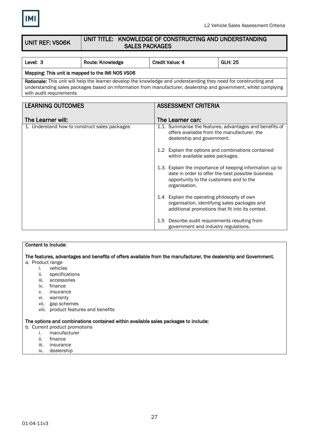

#### UNIT REF: VS06K UNIT TITLE: KNOWLEDGE OF CONSTRUCTING AND UNDERSTANDING SALES PACKAGES

| Level: 3                                                                                                                                                                                                                                                         | Route: Knowledge | <b>Credit Value: 4</b> | <b>GLH: 25</b> |  |
|------------------------------------------------------------------------------------------------------------------------------------------------------------------------------------------------------------------------------------------------------------------|------------------|------------------------|----------------|--|
| Mapping: This unit is mapped to the IMI NOS VS06                                                                                                                                                                                                                 |                  |                        |                |  |
| Rationale: This unit will help the learner develop the knowledge and understanding they need for constructing and<br>understanding sales packages based on information from manufacturer, dealership and government, whilst complying<br>with audit requirements |                  |                        |                |  |
| <b>LEARNING OUTCOMES</b><br><b>ASSESSMENT CRITERIA</b>                                                                                                                                                                                                           |                  |                        |                |  |

| The Learner will:                             | The Learner can:                                                                                                                                                          |
|-----------------------------------------------|---------------------------------------------------------------------------------------------------------------------------------------------------------------------------|
| 1. Understand how to construct sales packages | 1.1. Summarise the features, advantages and benefits of<br>offers available from the manufacturer, the<br>dealership and government.                                      |
|                                               | Explain the options and combinations contained<br>1.2 <sub>1</sub><br>within available sales packages.                                                                    |
|                                               | 1.3. Explain the importance of keeping information up to<br>date in order to offer the best possible business<br>opportunity to the customers and to the<br>organisation. |
|                                               | 1.4 Explain the operating philosophy of own<br>organisation, identifying sales packages and<br>additional promotions that fit into its context.                           |
|                                               | Describe audit requirements resulting from<br>1.5<br>government and industry regulations.                                                                                 |

## Content to Include: The features, advantages and benefits of offers available from the manufacturer, the dealership and Government.

- a. Product range
	- i. vehicles
	- ii. specifications
	- iii. accessories
	- iv. finance
	- v. insurance
	- vi. warranty
	- vii. gap schemes
	- viii. product features and benefits

### The options and combinations contained within available sales packages to include:

### b. Current product promotions

- i. manufacturer
- finance
- iii. insurance
- iv. dealership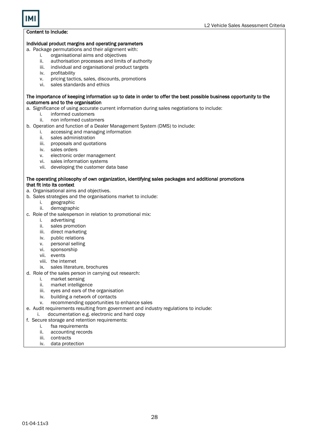### Individual product margins and operating parameters

- a. Package permutations and their alignment with:
	- i. organisational aims and objectives
	- ii. authorisation processes and limits of authority
	- iii. individual and organisational product targets
	- iv. profitability
	- v. pricing tactics, sales, discounts, promotions
	- vi. sales standards and ethics

### The importance of keeping information up to date in order to offer the best possible business opportunity to the customers and to the organisation

- a. Significance of using accurate current information during sales negotiations to include:
	- i. informed customers
	- ii. non informed customers
- b. Operation and function of a Dealer Management System (DMS) to include:
	- i. accessing and managing information
		- ii. sales administration
		- iii. proposals and quotations
		- iv. sales orders
		- v. electronic order management
		- vi. sales information systems
		- vii. developing the customer data base

#### The operating philosophy of own organization, identifying sales packages and additional promotions that fit into its context

- a. Organisational aims and objectives.
- b. Sales strategies and the organisations market to include:
	- i. geographic
	- ii. demographic
- c. Role of the salesperson in relation to promotional mix:
	- i. advertising
	- ii. sales promotion
	- iii. direct marketing
	- iv. public relations
	- v. personal selling
	- vi. sponsorship
	- vii. events
	- viii. the internet
	- ix. sales literature, brochures
- d. Role of the sales person in carrying out research:
	- i. market sensing
	- ii. market intelligence
	- iii. eyes and ears of the organisation
	- iv. building a network of contacts
	- v. recommending opportunities to enhance sales
- e. Audit requirements resulting from government and industry regulations to include:
	- i. documentation e.g. electronic and hard copy
- f. Secure storage and retention requirements:
	- i. fsa requirements
		- ii. accounting records
		- iii. contracts
		- iv. data protection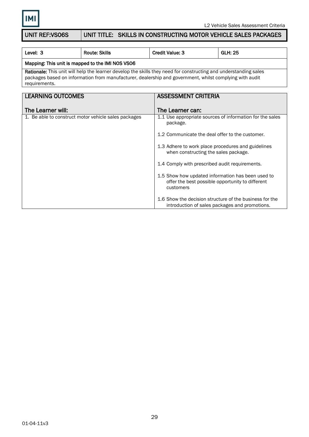

### UNIT REF:VS06S | UNIT TITLE: SKILLS IN CONSTRUCTING MOTOR VEHICLE SALES PACKAGES

| Level: 3                                                                                                                                                                                                                                     | <b>Route: Skills</b>                                   | <b>Credit Value: 3</b>                                                                                             | <b>GLH: 25</b>                                           |  |
|----------------------------------------------------------------------------------------------------------------------------------------------------------------------------------------------------------------------------------------------|--------------------------------------------------------|--------------------------------------------------------------------------------------------------------------------|----------------------------------------------------------|--|
| Mapping: This unit is mapped to the IMI NOS VS06                                                                                                                                                                                             |                                                        |                                                                                                                    |                                                          |  |
| Rationale: This unit will help the learner develop the skills they need for constructing and understanding sales<br>packages based on information from manufacturer, dealership and government, whilst complying with audit<br>requirements. |                                                        |                                                                                                                    |                                                          |  |
|                                                                                                                                                                                                                                              | <b>LEARNING OUTCOMES</b><br><b>ASSESSMENT CRITERIA</b> |                                                                                                                    |                                                          |  |
| The Learner will:                                                                                                                                                                                                                            |                                                        | The Learner can:                                                                                                   |                                                          |  |
|                                                                                                                                                                                                                                              | 1. Be able to construct motor vehicle sales packages   | package.                                                                                                           | 1.1 Use appropriate sources of information for the sales |  |
|                                                                                                                                                                                                                                              |                                                        | 1.2 Communicate the deal offer to the customer.                                                                    |                                                          |  |
|                                                                                                                                                                                                                                              |                                                        | 1.3 Adhere to work place procedures and guidelines<br>when constructing the sales package.                         |                                                          |  |
|                                                                                                                                                                                                                                              |                                                        | 1.4 Comply with prescribed audit requirements.                                                                     |                                                          |  |
|                                                                                                                                                                                                                                              |                                                        | 1.5 Show how updated information has been used to<br>offer the best possible opportunity to different<br>customers |                                                          |  |
| 1.6 Show the decision structure of the business for the<br>introduction of sales packages and promotions.                                                                                                                                    |                                                        |                                                                                                                    |                                                          |  |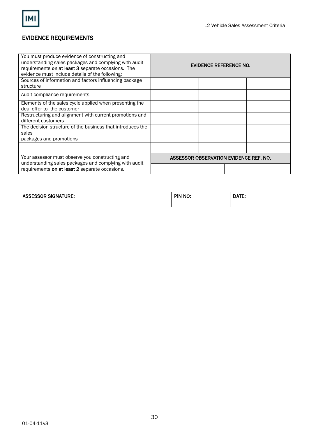

### EVIDENCE REQUIREMENTS

| You must produce evidence of constructing and<br>understanding sales packages and complying with audit<br>requirements on at least 3 separate occasions. The<br>evidence must include details of the following: | <b>EVIDENCE REFERENCE NO.</b>          |  |  |  |
|-----------------------------------------------------------------------------------------------------------------------------------------------------------------------------------------------------------------|----------------------------------------|--|--|--|
| Sources of information and factors influencing package<br>structure                                                                                                                                             |                                        |  |  |  |
| Audit compliance requirements                                                                                                                                                                                   |                                        |  |  |  |
| Elements of the sales cycle applied when presenting the<br>deal offer to the customer                                                                                                                           |                                        |  |  |  |
| Restructuring and alignment with current promotions and<br>different customers                                                                                                                                  |                                        |  |  |  |
| The decision structure of the business that introduces the<br>sales<br>packages and promotions                                                                                                                  |                                        |  |  |  |
|                                                                                                                                                                                                                 |                                        |  |  |  |
| Your assessor must observe you constructing and<br>understanding sales packages and complying with audit                                                                                                        | ASSESSOR OBSERVATION EVIDENCE REF. NO. |  |  |  |
| requirements on at least 2 separate occasions.                                                                                                                                                                  |                                        |  |  |  |

| <b>ASSESSOR SIGNATURE:</b> | PIN NO: | DATE: |
|----------------------------|---------|-------|
|                            |         |       |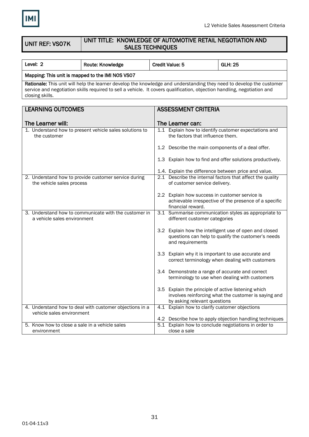

### UNIT REF: VS07K

### UNIT TITLE: KNOWLEDGE OF AUTOMOTIVE RETAIL NEGOTIATION AND SALES TECHNIQUES

| Level: 2                                                                                                                                                                                                                                                           | Route: Knowledge | <b>Credit Value: 5</b> | GLH: 25 |  |
|--------------------------------------------------------------------------------------------------------------------------------------------------------------------------------------------------------------------------------------------------------------------|------------------|------------------------|---------|--|
| Mapping: This unit is mapped to the IMI NOS VS07                                                                                                                                                                                                                   |                  |                        |         |  |
| Rationale: This unit will help the learner develop the knowledge and understanding they need to develop the customer<br>service and negotiation skills required to sell a vehicle. It covers qualification, objection handling, negotiation and<br>closing skills. |                  |                        |         |  |

| <b>LEARNING OUTCOMES</b>                                                             | <b>ASSESSMENT CRITERIA</b>                                                                                                                  |
|--------------------------------------------------------------------------------------|---------------------------------------------------------------------------------------------------------------------------------------------|
|                                                                                      |                                                                                                                                             |
| The Learner will:                                                                    | The Learner can:                                                                                                                            |
| 1. Understand how to present vehicle sales solutions to<br>the customer              | 1.1 Explain how to identify customer expectations and<br>the factors that influence them.                                                   |
|                                                                                      | 1.2 Describe the main components of a deal offer.                                                                                           |
|                                                                                      | 1.3 Explain how to find and offer solutions productively.                                                                                   |
|                                                                                      | 1.4. Explain the difference between price and value.                                                                                        |
| 2. Understand how to provide customer service during<br>the vehicle sales process    | 2.1 Describe the internal factors that affect the quality<br>of customer service delivery.                                                  |
|                                                                                      | 2.2 Explain how success in customer service is<br>achievable irrespective of the presence of a specific<br>financial reward.                |
| 3. Understand how to communicate with the customer in<br>a vehicle sales environment | 3.1 Summarise communication styles as appropriate to<br>different customer categories                                                       |
|                                                                                      | 3.2 Explain how the intelligent use of open and closed<br>questions can help to qualify the customer's needs<br>and requirements            |
|                                                                                      | 3.3 Explain why it is important to use accurate and<br>correct terminology when dealing with customers                                      |
|                                                                                      | 3.4 Demonstrate a range of accurate and correct<br>terminology to use when dealing with customers                                           |
|                                                                                      | 3.5 Explain the principle of active listening which<br>involves reinforcing what the customer is saying and<br>by asking relevant questions |
| 4. Understand how to deal with customer objections in a<br>vehicle sales environment | 4.1 Explain how to clarify customer objections                                                                                              |
|                                                                                      | 4.2 Describe how to apply objection handling techniques                                                                                     |
| 5. Know how to close a sale in a vehicle sales<br>environment                        | 5.1 Explain how to conclude negotiations in order to<br>close a sale                                                                        |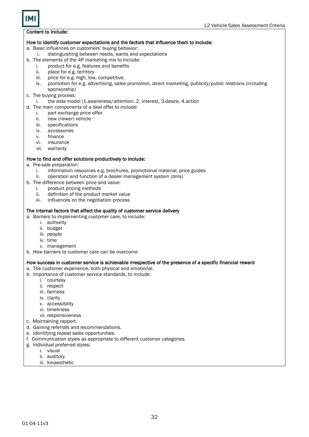### How to identify customer expectations and the factors that influence them to include:

a. Basic influences on customers' buying behavior:

- i. distinguishing between needs, wants and expectations
- b. The elements of the 4P marketing mix to include:
	- i. product for e.g. features and benefits
	- ii. place for e.g. territory
	- iii. price for e.g. high, low, competitive.
	- iv. promotion for e.g. advertising, sales promotion, direct marketing, publicity/public relations (including sponsorship)
- c. The buying process:
	- i. the aida model (1.awareness/attention, 2. interest, 3.desire, 4.action
- d. The main components of a deal offer to include:
	- i. part exchange price offer
	- ii. new (newer) vehicle
	- iii. specifications
	- iv. accessories
	- v. finance
	- vi. insurance
	- vii. warranty

### How to find and offer solutions productively to include:

- a. Pre-sale preparation:
	- i. information resources e.g. brochures, promotional material, price guides
	- ii. operation and function of a dealer management system (dms)
- b. The difference between price and value:
	- i. product pricing methods
	- ii. definition of the product market value
	- iii. influences on the negotiation process

### The internal factors that affect the quality of customer service delivery

- a. Barriers to implementing customer care, to include:
	- i. authority
	- ii. budget
	- iii. people
	- iv. time
	- v. management
- b. How barriers to customer care can be overcome

### How success in customer service is achievable irrespective of the presence of a specific financial reward

a. The customer experience, both physical and emotional.

- b. Importance of customer service standards, to include:
	- i. courtesy
	- ii. respect
	- iii. fairness
	- iv. clarity
	- v. accessibility
	- vi. timeliness
	- vii. responsiveness
- c. Maintaining rapport.
- d. Gaining referrals and recommendations.
- e. Identifying repeat sales opportunities.
- f. Communication styles as appropriate to different customer categories.
- g. Individual preferred styles:
	- i. visual
	- ii. auditory
	- iii. kinaesthetic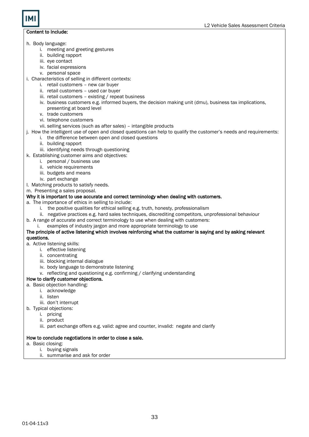- h. Body language:
	- i. meeting and greeting gestures
	- ii. building rapport
	- iii. eye contact
	- iv. facial expressions
	- v. personal space
- i. Characteristics of selling in different contexts:
	- i. retail customers new car buyer
	- ii. retail customers used car buyer
	- iii. retail customers existing / repeat business
	- iv. business customers e.g. informed buyers, the decision making unit (dmu), business tax implications, presenting at board level
	- v. trade customers
	- vi. telephone customers
	- vii. selling services (such as after sales) intangible products
- j. How the intelligent use of open and closed questions can help to qualify the customer's needs and requirements:
	- i. the difference between open and closed questions
	- ii. building rapport
	- iii. identifying needs through questioning
- k. Establishing customer aims and objectives:
	- i. personal / business use
	- ii. vehicle requirements
	- iii. budgets and means
	- iv. part exchange
- l. Matching products to satisfy needs.
- m. Presenting a sales proposal.

### Why it is important to use accurate and correct terminology when dealing with customers.

- a. The importance of ethics in selling to include:
	- i. the positive qualities for ethical selling e.g. truth, honesty, professionalism
	- ii. negative practices e.g. hard sales techniques, discrediting competitors, unprofessional behaviour
- b. A range of accurate and correct terminology to use when dealing with customers:
	- i. examples of industry jargon and more appropriate terminology to use

#### The principle of active listening which involves reinforcing what the customer is saying and by asking relevant questions.

- a. Active listening skills:
	- i. effective listening
		- ii. concentrating
		-
		- iii. blocking internal dialogue iv. body language to demonstrate listening
		- v. reflecting and questioning e.g. confirming / clarifying understanding

### How to clarify customer objections.

- a. Basic objection handling:
	- i. acknowledge
	- ii. listen
	- iii. don't interrupt
- b. Typical objections:
	- i. pricing
	- ii. product
	- iii. part exchange offers e.g. valid: agree and counter, invalid: negate and clarify

### How to conclude negotiations in order to close a sale.

- a. Basic closing:
	- i. buying signals
	- ii. summarise and ask for order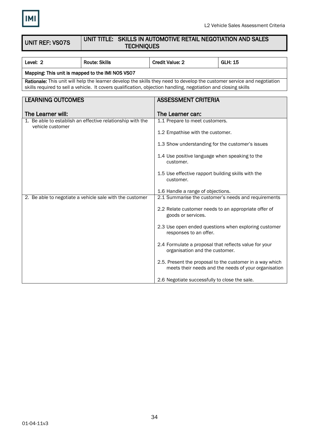

### UNIT REF: VS07S

### UNIT TITLE: SKILLS IN AUTOMOTIVE RETAIL NEGOTIATION AND SALES **TECHNIQUES**

| Level: 2                 | <b>Route: Skills</b>                                                                                                                                                                                                                      | <b>Credit Value: 2</b>                                                                  | <b>GLH: 15</b>                                                                                                   |  |
|--------------------------|-------------------------------------------------------------------------------------------------------------------------------------------------------------------------------------------------------------------------------------------|-----------------------------------------------------------------------------------------|------------------------------------------------------------------------------------------------------------------|--|
|                          | Mapping: This unit is mapped to the IMI NOS VS07                                                                                                                                                                                          |                                                                                         |                                                                                                                  |  |
|                          | Rationale: This unit will help the learner develop the skills they need to develop the customer service and negotiation<br>skills required to sell a vehicle. It covers qualification, objection handling, negotiation and closing skills |                                                                                         |                                                                                                                  |  |
|                          |                                                                                                                                                                                                                                           |                                                                                         |                                                                                                                  |  |
| <b>LEARNING OUTCOMES</b> |                                                                                                                                                                                                                                           | <b>ASSESSMENT CRITERIA</b>                                                              |                                                                                                                  |  |
| The Learner will:        |                                                                                                                                                                                                                                           | The Learner can:                                                                        |                                                                                                                  |  |
|                          | 1. Be able to establish an effective relationship with the                                                                                                                                                                                | 1.1 Prepare to meet customers.                                                          |                                                                                                                  |  |
| vehicle customer         |                                                                                                                                                                                                                                           |                                                                                         |                                                                                                                  |  |
|                          |                                                                                                                                                                                                                                           | 1.2 Empathise with the customer.                                                        |                                                                                                                  |  |
|                          |                                                                                                                                                                                                                                           | 1.3 Show understanding for the customer's issues                                        |                                                                                                                  |  |
|                          |                                                                                                                                                                                                                                           | 1.4 Use positive language when speaking to the<br>customer.                             |                                                                                                                  |  |
|                          |                                                                                                                                                                                                                                           | 1.5 Use effective rapport building skills with the<br>customer.                         |                                                                                                                  |  |
|                          |                                                                                                                                                                                                                                           | 1.6 Handle a range of objections.                                                       |                                                                                                                  |  |
|                          | 2. Be able to negotiate a vehicle sale with the customer                                                                                                                                                                                  | 2.1 Summarise the customer's needs and requirements                                     |                                                                                                                  |  |
|                          |                                                                                                                                                                                                                                           | 2.2 Relate customer needs to an appropriate offer of<br>goods or services.              |                                                                                                                  |  |
|                          |                                                                                                                                                                                                                                           | responses to an offer.                                                                  | 2.3 Use open ended questions when exploring customer                                                             |  |
|                          |                                                                                                                                                                                                                                           | 2.4 Formulate a proposal that reflects value for your<br>organisation and the customer. |                                                                                                                  |  |
|                          |                                                                                                                                                                                                                                           |                                                                                         | 2.5. Present the proposal to the customer in a way which<br>meets their needs and the needs of your organisation |  |
|                          |                                                                                                                                                                                                                                           | 2.6 Negotiate successfully to close the sale.                                           |                                                                                                                  |  |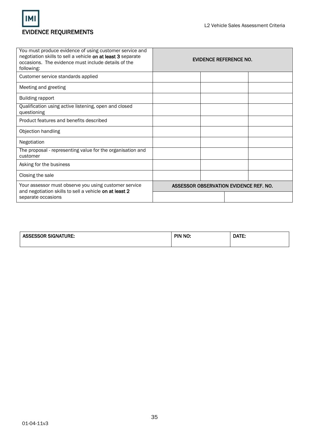

| You must produce evidence of using customer service and<br>negotiation skills to sell a vehicle on at least 3 separate<br>occasions. The evidence must include details of the<br>following: | <b>EVIDENCE REFERENCE NO.</b>          |  |
|---------------------------------------------------------------------------------------------------------------------------------------------------------------------------------------------|----------------------------------------|--|
| Customer service standards applied                                                                                                                                                          |                                        |  |
| Meeting and greeting                                                                                                                                                                        |                                        |  |
| <b>Building rapport</b>                                                                                                                                                                     |                                        |  |
| Qualification using active listening, open and closed<br>questioning                                                                                                                        |                                        |  |
| Product features and benefits described                                                                                                                                                     |                                        |  |
| Objection handling                                                                                                                                                                          |                                        |  |
| Negotiation                                                                                                                                                                                 |                                        |  |
| The proposal - representing value for the organisation and<br>customer                                                                                                                      |                                        |  |
| Asking for the business                                                                                                                                                                     |                                        |  |
| Closing the sale                                                                                                                                                                            |                                        |  |
| Your assessor must observe you using customer service<br>and negotiation skills to sell a vehicle on at least 2                                                                             | ASSESSOR OBSERVATION EVIDENCE REF. NO. |  |
| separate occasions                                                                                                                                                                          |                                        |  |

| <b>ASSESSOR SIGNATURE:</b> | PIN NO: | DATE: |
|----------------------------|---------|-------|
|                            |         |       |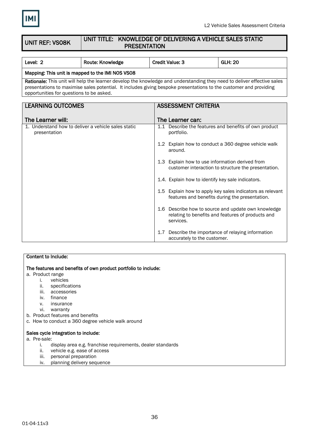

UNIT REF: VS08K

### UNIT TITLE: KNOWLEDGE OF DELIVERING A VEHICLE SALES STATIC PRESENTATION

| Level: 2                                 | <b>GLH: 20</b><br>Route: Knowledge<br><b>Credit Value: 3</b>                                                                                                                                                                                 |                                                                     |                                                   |                                                                                                             |  |
|------------------------------------------|----------------------------------------------------------------------------------------------------------------------------------------------------------------------------------------------------------------------------------------------|---------------------------------------------------------------------|---------------------------------------------------|-------------------------------------------------------------------------------------------------------------|--|
|                                          | Mapping: This unit is mapped to the IMI NOS VS08                                                                                                                                                                                             |                                                                     |                                                   |                                                                                                             |  |
| opportunities for questions to be asked. | Rationale: This unit will help the learner develop the knowledge and understanding they need to deliver effective sales<br>presentations to maximise sales potential. It includes giving bespoke presentations to the customer and providing |                                                                     |                                                   |                                                                                                             |  |
|                                          |                                                                                                                                                                                                                                              |                                                                     |                                                   |                                                                                                             |  |
| <b>LEARNING OUTCOMES</b>                 |                                                                                                                                                                                                                                              |                                                                     | <b>ASSESSMENT CRITERIA</b>                        |                                                                                                             |  |
|                                          |                                                                                                                                                                                                                                              |                                                                     |                                                   |                                                                                                             |  |
| The Learner will:                        |                                                                                                                                                                                                                                              |                                                                     | The Learner can:                                  |                                                                                                             |  |
| presentation                             | 1. Understand how to deliver a vehicle sales static                                                                                                                                                                                          | 1.1 Describe the features and benefits of own product<br>portfolio. |                                                   |                                                                                                             |  |
|                                          |                                                                                                                                                                                                                                              |                                                                     | around.                                           | 1.2 Explain how to conduct a 360 degree vehicle walk                                                        |  |
|                                          |                                                                                                                                                                                                                                              |                                                                     | 1.3 Explain how to use information derived from   | customer interaction to structure the presentation.                                                         |  |
|                                          |                                                                                                                                                                                                                                              |                                                                     | 1.4. Explain how to identify key sale indicators. |                                                                                                             |  |
|                                          |                                                                                                                                                                                                                                              |                                                                     |                                                   | 1.5 Explain how to apply key sales indicators as relevant<br>features and benefits during the presentation. |  |
|                                          |                                                                                                                                                                                                                                              |                                                                     | services.                                         | 1.6 Describe how to source and update own knowledge<br>relating to benefits and features of products and    |  |
|                                          |                                                                                                                                                                                                                                              | 1.7                                                                 | accurately to the customer.                       | Describe the importance of relaying information                                                             |  |

### Content to Include:

The features and benefits of own product portfolio to include:

- a. Product range
	- i. vehicles
	- ii. specifications
	- iii. accessories
	- iv. finance
	- v. insurance
	- vi. warranty
- b. Product features and benefits
- c. How to conduct a 360 degree vehicle walk around

### Sales cycle integration to include:

- a. Pre-sale:
	- i. display area e.g. franchise requirements, dealer standards
	- ii. vehicle e.g. ease of access
	- iii. personal preparation
	- iv. planning delivery sequence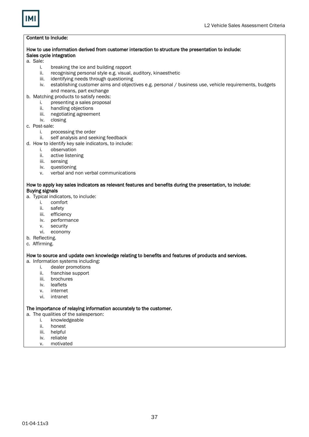### How to use information derived from customer interaction to structure the presentation to include: Sales cycle integration

#### a. Sale:

- i. breaking the ice and building rapport
- ii. recognising personal style e.g. visual, auditory, kinaesthetic
- iii. identifying needs through questioning
- iv. establishing customer aims and objectives e.g. personal / business use, vehicle requirements, budgets and means, part exchange
- b. Matching products to satisfy needs:
	- i. presenting a sales proposal
	- ii. handling objections
	- iii. negotiating agreement<br>iv. closing
	- closing
- c. Post-sale:
	- i. processing the order
	- ii. self analysis and seeking feedback
- d. How to identify key sale indicators, to include:
	- i. observation
	- ii. active listening
	- iii. sensing
	- iv. questioning
	- v. verbal and non verbal communications

### How to apply key sales indicators as relevant features and benefits during the presentation, to include: Buying signals

- a. Typical indicators, to include:
	- i. comfort
	- ii. safety
	- iii. efficiency
	- iv. performance
	- v. security
	- vi. economy
- b. Reflecting.
- c. Affirming.

#### How to source and update own knowledge relating to benefits and features of products and services.

- a. Information systems including:
	- i. dealer promotions
	- ii. franchise support
	- iii. brochures
	- iv. leaflets
	- v. internet
	- vi. intranet

#### The importance of relaying information accurately to the customer.

- a. The qualities of the salesperson:
	- i. knowledgeable
	- ii. honest
	- iii. helpful
	- iv. reliable
	- v. motivated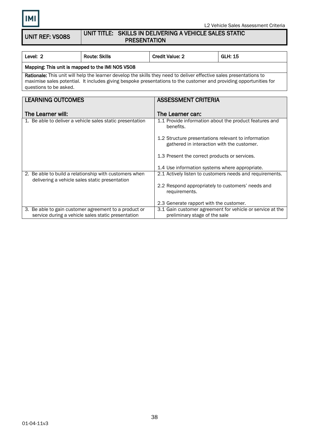UNIT REF: VS08S

### UNIT TITLE: SKILLS IN DELIVERING A VEHICLE SALES STATIC PRESENTATION

| Level: 2                                                                                                                                                                                                                                                            | <b>Route: Skills</b>                             | <b>Credit Value: 2</b>                                                                            | <b>GLH: 15</b>                                            |  |
|---------------------------------------------------------------------------------------------------------------------------------------------------------------------------------------------------------------------------------------------------------------------|--------------------------------------------------|---------------------------------------------------------------------------------------------------|-----------------------------------------------------------|--|
|                                                                                                                                                                                                                                                                     | Mapping: This unit is mapped to the IMI NOS VS08 |                                                                                                   |                                                           |  |
| Rationale: This unit will help the learner develop the skills they need to deliver effective sales presentations to<br>maximise sales potential. It includes giving bespoke presentations to the customer and providing opportunities for<br>questions to be asked. |                                                  |                                                                                                   |                                                           |  |
|                                                                                                                                                                                                                                                                     |                                                  |                                                                                                   |                                                           |  |
| <b>LEARNING OUTCOMES</b>                                                                                                                                                                                                                                            |                                                  | <b>ASSESSMENT CRITERIA</b>                                                                        |                                                           |  |
|                                                                                                                                                                                                                                                                     |                                                  |                                                                                                   |                                                           |  |
| The Learner will:                                                                                                                                                                                                                                                   |                                                  | The Learner can:                                                                                  |                                                           |  |
| 1. Be able to deliver a vehicle sales static presentation                                                                                                                                                                                                           |                                                  | benefits.                                                                                         | 1.1 Provide information about the product features and    |  |
|                                                                                                                                                                                                                                                                     |                                                  | 1.2 Structure presentations relevant to information<br>gathered in interaction with the customer. |                                                           |  |
|                                                                                                                                                                                                                                                                     |                                                  | 1.3 Present the correct products or services.                                                     |                                                           |  |
|                                                                                                                                                                                                                                                                     |                                                  | 1.4 Use information systems where appropriate.                                                    |                                                           |  |
| 2. Be able to build a relationship with customers when<br>delivering a vehicle sales static presentation                                                                                                                                                            |                                                  | 2.1 Actively listen to customers needs and requirements.                                          |                                                           |  |
|                                                                                                                                                                                                                                                                     |                                                  | 2.2 Respond appropriately to customers' needs and<br>requirements.                                |                                                           |  |
|                                                                                                                                                                                                                                                                     |                                                  | 2.3 Generate rapport with the customer.                                                           |                                                           |  |
| 3. Be able to gain customer agreement to a product or<br>service during a vehicle sales static presentation                                                                                                                                                         |                                                  | preliminary stage of the sale                                                                     | 3.1 Gain customer agreement for vehicle or service at the |  |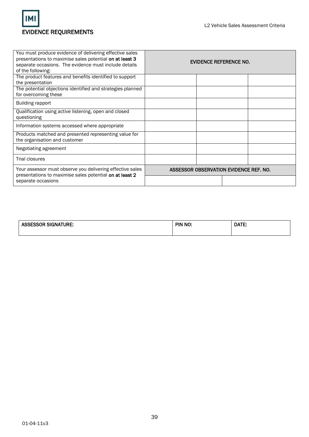

| You must produce evidence of delivering effective sales<br>presentations to maximise sales potential on at least 3<br>separate occasions. The evidence must include details<br>of the following: |                                        | EVIDENCE REFERENCE NO. |  |
|--------------------------------------------------------------------------------------------------------------------------------------------------------------------------------------------------|----------------------------------------|------------------------|--|
| The product features and benefits identified to support                                                                                                                                          |                                        |                        |  |
| the presentation                                                                                                                                                                                 |                                        |                        |  |
| The potential objections identified and strategies planned                                                                                                                                       |                                        |                        |  |
| for overcoming these                                                                                                                                                                             |                                        |                        |  |
| Building rapport                                                                                                                                                                                 |                                        |                        |  |
| Qualification using active listening, open and closed                                                                                                                                            |                                        |                        |  |
| questioning                                                                                                                                                                                      |                                        |                        |  |
| Information systems accessed where appropriate                                                                                                                                                   |                                        |                        |  |
| Products matched and presented representing value for                                                                                                                                            |                                        |                        |  |
| the organisation and customer                                                                                                                                                                    |                                        |                        |  |
| Negotiating agreement                                                                                                                                                                            |                                        |                        |  |
| Trial closures                                                                                                                                                                                   |                                        |                        |  |
| Your assessor must observe you delivering effective sales<br>presentations to maximise sales potential on at least 2                                                                             | ASSESSOR OBSERVATION EVIDENCE REF. NO. |                        |  |
| separate occasions                                                                                                                                                                               |                                        |                        |  |

| <b>ASSESSOR SIGNATURE:</b> | PIN NO: | DATE: |
|----------------------------|---------|-------|
|                            |         |       |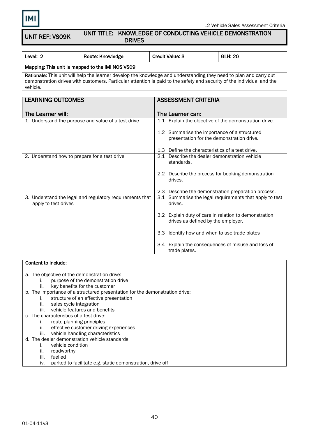UNIT REF: VS09K

### UNIT TITLE: KNOWLEDGE OF CONDUCTING VEHICLE DEMONSTRATION DRIVES

| Level: 2                                         | Route: Knowledge | <b>Credit Value: 3</b> | <b>GLH: 20</b> |
|--------------------------------------------------|------------------|------------------------|----------------|
| Mapping: This unit is mapped to the IMI NOS VS09 |                  |                        |                |
|                                                  |                  |                        |                |

Rationale: This unit will help the learner develop the knowledge and understanding they need to plan and carry out demonstration drives with customers. Particular attention is paid to the safety and security of the individual and the vehicle.

| <b>LEARNING OUTCOMES</b>                                                         | <b>ASSESSMENT CRITERIA</b>                                                                  |
|----------------------------------------------------------------------------------|---------------------------------------------------------------------------------------------|
|                                                                                  |                                                                                             |
| The Learner will:                                                                | The Learner can:                                                                            |
| 1. Understand the purpose and value of a test drive                              | 1.1 Explain the objective of the demonstration drive.                                       |
|                                                                                  | 1.2 Summarise the importance of a structured                                                |
|                                                                                  | presentation for the demonstration drive.                                                   |
|                                                                                  | 1.3 Define the characteristics of a test drive.                                             |
| 2. Understand how to prepare for a test drive                                    | 2.1 Describe the dealer demonstration vehicle                                               |
|                                                                                  | standards.                                                                                  |
|                                                                                  |                                                                                             |
|                                                                                  | 2.2 Describe the process for booking demonstration<br>drives.                               |
|                                                                                  | 2.3 Describe the demonstration preparation process.                                         |
| 3. Understand the legal and regulatory requirements that<br>apply to test drives | 3.1 Summarise the legal requirements that apply to test<br>drives.                          |
|                                                                                  | 3.2 Explain duty of care in relation to demonstration<br>drives as defined by the employer. |
|                                                                                  | 3.3 Identify how and when to use trade plates                                               |
|                                                                                  | 3.4 Explain the consequences of misuse and loss of<br>trade plates.                         |

### Content to Include:

a. The objective of the demonstration drive:

- i. purpose of the demonstration drive
	- ii. key benefits for the customer
- b. The importance of a structured presentation for the demonstration drive:
	- i. structure of an effective presentation
	- ii. sales cycle integration
	- iii. vehicle features and benefits
- c. The characteristics of a test drive:
	- i. route planning principles
	- ii. effective customer driving experiences
	- iii. vehicle handling characteristics
- d. The dealer demonstration vehicle standards:
	- i. vehicle condition
	- ii. roadworthy
	- iii. fuelled
	- iv. parked to facilitate e.g. static demonstration, drive off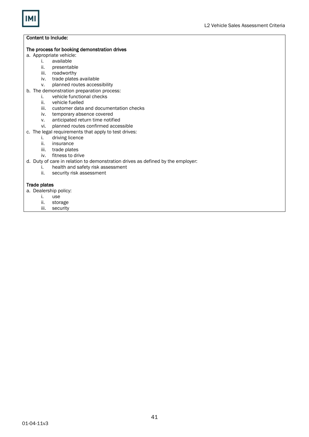#### The process for booking demonstration drives

- a. Appropriate vehicle:<br>i. available
	- i. available
		- presentable
		- iii. roadworthy
		- iv. trade plates available<br>v. planned routes access
		- planned routes accessibility
- b. The demonstration preparation process:<br>i. vehicle functional checks
	- vehicle functional checks
	- ii. vehicle fuelled
	- iii. customer data and documentation checks
	- iv. temporary absence covered
	- v. anticipated return time notified
	- vi. planned routes confirmed accessible
- c. The legal requirements that apply to test drives:
	- i. driving licence<br>ii. insurance
	- insurance
	- iii. trade plates
	- iv. fitness to drive
- d. Duty of care in relation to demonstration drives as defined by the employer:
	- i. health and safety risk assessment
	- ii. security risk assessment

### Trade plates

- a. Dealership policy:
	- i. use
	- ii. storage
	- iii. security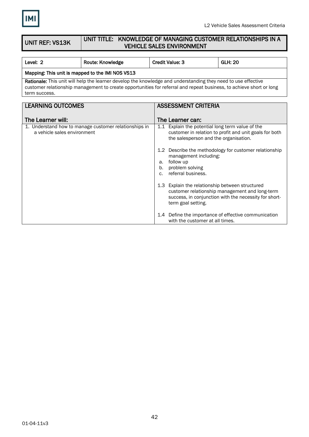

#### UNIT REF: VS13K UNIT TITLE: KNOWLEDGE OF MANAGING CUSTOMER RELATIONSHIPS IN A VEHICLE SALES ENVIRONMENT

| Level: 2                                                                                                                                                                                                                                              | Route: Knowledge | <b>Credit Value: 3</b> | <b>GLH: 20</b> |  |  |
|-------------------------------------------------------------------------------------------------------------------------------------------------------------------------------------------------------------------------------------------------------|------------------|------------------------|----------------|--|--|
| Mapping: This unit is mapped to the IMI NOS VS13                                                                                                                                                                                                      |                  |                        |                |  |  |
| Rationale: This unit will help the learner develop the knowledge and understanding they need to use effective<br>customer relationship management to create opportunities for referral and repeat business, to achieve short or long<br>term success. |                  |                        |                |  |  |
|                                                                                                                                                                                                                                                       |                  |                        |                |  |  |
| <b>LEARNING OUTCOMES</b><br><b>ASSESSMENT CRITERIA</b>                                                                                                                                                                                                |                  |                        |                |  |  |
|                                                                                                                                                                                                                                                       |                  |                        |                |  |  |

| The Learner will:                                                                    | The Learner can:                                                                                                                                                                 |
|--------------------------------------------------------------------------------------|----------------------------------------------------------------------------------------------------------------------------------------------------------------------------------|
| 1. Understand how to manage customer relationships in<br>a vehicle sales environment | 1.1 Explain the potential long term value of the<br>customer in relation to profit and unit goals for both<br>the salesperson and the organisation.                              |
|                                                                                      | 1.2 Describe the methodology for customer relationship<br>management including:<br>follow up<br>a.<br>problem solving<br>b.<br>referral business.<br>$\mathsf{C}$ .              |
|                                                                                      | 1.3 Explain the relationship between structured<br>customer relationship management and long-term<br>success, in conjunction with the necessity for short-<br>term goal setting. |
|                                                                                      | 1.4 Define the importance of effective communication<br>with the customer at all times.                                                                                          |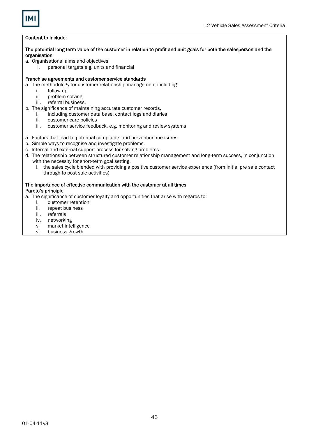

### The potential long term value of the customer in relation to profit and unit goals for both the salesperson and the organisation

- a. Organisational aims and objectives:
	- i. personal targets e.g. units and financial

#### Franchise agreements and customer service standards

- a. The methodology for customer relationship management including:
	- i. follow up<br>ii. problem s
	- problem solving
	- iii. referral business.
- b. The significance of maintaining accurate customer records,
	- i. including customer data base, contact logs and diaries
	- ii. customer care policies
	- iii. customer service feedback, e.g. monitoring and review systems
- a. Factors that lead to potential complaints and prevention measures.
- b. Simple ways to recognise and investigate problems.
- c. Internal and external support process for solving problems.
- d. The relationship between structured customer relationship management and long-term success, in conjunction with the necessity for short-term goal setting.
	- i. the sales cycle blended with providing a positive customer service experience (from initial pre sale contact through to post sale activities)

### The importance of effective communication with the customer at all times Pareto's principle

- a. The significance of customer loyalty and opportunities that arise with regards to:
	- i. customer retention
	- ii. repeat business
	- iii. referrals
	- iv. networking
	- v. market intelligence
	- vi. business growth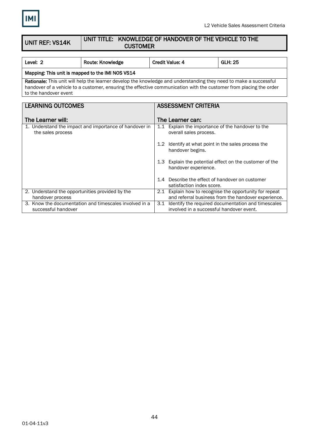

successful handover

involved in a successful handover event.

#### UNIT REF: VS14K UNIT TITLE: KNOWLEDGE OF HANDOVER OF THE VEHICLE TO THE **CUSTOMER**

| Level: 2                                                                                                                                                                                                                                | Route: Knowledge                                       |  | <b>Credit Value: 4</b>                              | <b>GLH: 25</b>                                          |
|-----------------------------------------------------------------------------------------------------------------------------------------------------------------------------------------------------------------------------------------|--------------------------------------------------------|--|-----------------------------------------------------|---------------------------------------------------------|
| Mapping: This unit is mapped to the IMI NOS VS14                                                                                                                                                                                        |                                                        |  |                                                     |                                                         |
| Rationale: This unit will help the learner develop the knowledge and understanding they need to make a successful<br>handover of a vehicle to a customer, ensuring the effective communication with the customer from placing the order |                                                        |  |                                                     |                                                         |
| to the handover event                                                                                                                                                                                                                   |                                                        |  |                                                     |                                                         |
|                                                                                                                                                                                                                                         |                                                        |  |                                                     |                                                         |
| <b>LEARNING OUTCOMES</b>                                                                                                                                                                                                                |                                                        |  | <b>ASSESSMENT CRITERIA</b>                          |                                                         |
|                                                                                                                                                                                                                                         |                                                        |  |                                                     |                                                         |
| The Learner will:                                                                                                                                                                                                                       |                                                        |  | The Learner can:                                    |                                                         |
|                                                                                                                                                                                                                                         | 1. Understand the impact and importance of handover in |  | 1.1 Explain the importance of the handover to the   |                                                         |
| the sales process                                                                                                                                                                                                                       |                                                        |  | overall sales process.                              |                                                         |
|                                                                                                                                                                                                                                         |                                                        |  |                                                     |                                                         |
|                                                                                                                                                                                                                                         |                                                        |  | 1.2 Identify at what point in the sales process the |                                                         |
|                                                                                                                                                                                                                                         |                                                        |  | handover begins.                                    |                                                         |
|                                                                                                                                                                                                                                         |                                                        |  |                                                     |                                                         |
|                                                                                                                                                                                                                                         |                                                        |  |                                                     | 1.3 Explain the potential effect on the customer of the |
|                                                                                                                                                                                                                                         |                                                        |  | handover experience.                                |                                                         |
|                                                                                                                                                                                                                                         |                                                        |  | 1.4 Describe the effect of handover on customer     |                                                         |
|                                                                                                                                                                                                                                         |                                                        |  | satisfaction index score.                           |                                                         |
| 2. Understand the opportunities provided by the                                                                                                                                                                                         |                                                        |  |                                                     | 2.1 Explain how to recognise the opportunity for repeat |
| handover process                                                                                                                                                                                                                        |                                                        |  |                                                     | and referral business from the handover experience.     |
|                                                                                                                                                                                                                                         | 3. Know the documentation and timescales involved in a |  |                                                     | 3.1 Identify the required documentation and timescales  |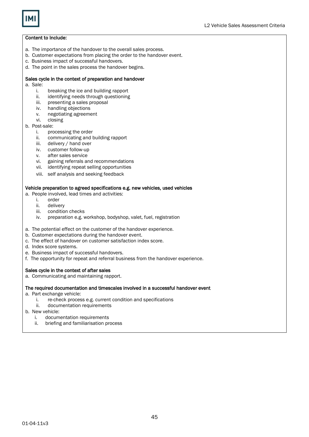

- a. The importance of the handover to the overall sales process.
- b. Customer expectations from placing the order to the handover event.
- c. Business impact of successful handovers.
- d. The point in the sales process the handover begins.

### Sales cycle in the context of preparation and handover

- a. Sale:
	- i. breaking the ice and building rapport
	- ii. identifying needs through questioning
	- iii. presenting a sales proposal
	- iv. handling objections
	- v. negotiating agreement
	- vi. closing
- b. Post-sale:
	- i. processing the order
	- ii. communicating and building rapport
	- iii. delivery / hand over
	- iv. customer follow-up
	- v. after sales service
	- vi. gaining referrals and recommendations
	- vii. identifying repeat selling opportunities
	- viii. self analysis and seeking feedback

### Vehicle preparation to agreed specifications e.g. new vehicles, used vehicles

- a. People involved, lead times and activities:
	- i. order
	- ii. delivery
	- iii. condition checks
	- iv. preparation e.g. workshop, bodyshop, valet, fuel, registration
- a. The potential effect on the customer of the handover experience.
- b. Customer expectations during the handover event.
- c. The effect of handover on customer satisfaction index score.
- d. Index score systems.
- e. Business impact of successful handovers.
- f. The opportunity for repeat and referral business from the handover experience.

### Sales cycle in the context of after sales

a. Communicating and maintaining rapport.

### The required documentation and timescales involved in a successful handover event

- a. Part exchange vehicle:
	- i. re-check process e.g. current condition and specifications
	- ii. documentation requirements
- b. New vehicle:
	- i. documentation requirements
	- ii. briefing and familiarisation process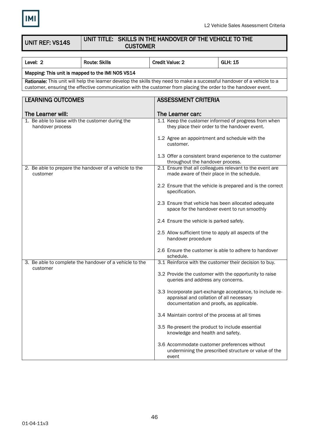

UNIT REF: VS14S

### UNIT TITLE: SKILLS IN THE HANDOVER OF THE VEHICLE TO THE **CUSTOMER**

| Level: 2                                                                                                                                                                                                                                  | <b>Route: Skills</b>                                    | <b>Credit Value: 2</b>                                                                              | <b>GLH: 15</b>                                             |
|-------------------------------------------------------------------------------------------------------------------------------------------------------------------------------------------------------------------------------------------|---------------------------------------------------------|-----------------------------------------------------------------------------------------------------|------------------------------------------------------------|
| Mapping: This unit is mapped to the IMI NOS VS14                                                                                                                                                                                          |                                                         |                                                                                                     |                                                            |
| Rationale: This unit will help the learner develop the skills they need to make a successful handover of a vehicle to a<br>customer, ensuring the effective communication with the customer from placing the order to the handover event. |                                                         |                                                                                                     |                                                            |
| <b>LEARNING OUTCOMES</b><br><b>ASSESSMENT CRITERIA</b>                                                                                                                                                                                    |                                                         |                                                                                                     |                                                            |
| The Learner will:<br>The Learner can:                                                                                                                                                                                                     |                                                         |                                                                                                     |                                                            |
| 1. Be able to liaise with the customer during the<br>handover process                                                                                                                                                                     |                                                         | they place their order to the handover event.                                                       | 1.1 Keep the customer informed of progress from when       |
|                                                                                                                                                                                                                                           |                                                         | 1.2 Agree an appointment and schedule with the<br>customer.                                         |                                                            |
|                                                                                                                                                                                                                                           |                                                         | throughout the handover process.                                                                    | 1.3 Offer a consistent brand experience to the customer    |
| customer                                                                                                                                                                                                                                  | 2. Be able to prepare the handover of a vehicle to the  | made aware of their place in the schedule.                                                          | 2.1 Ensure that all colleagues relevant to the event are   |
|                                                                                                                                                                                                                                           |                                                         | specification.                                                                                      | 2.2 Ensure that the vehicle is prepared and is the correct |
|                                                                                                                                                                                                                                           |                                                         | 2.3 Ensure that vehicle has been allocated adequate<br>space for the handover event to run smoothly |                                                            |
|                                                                                                                                                                                                                                           |                                                         | 2.4 Ensure the vehicle is parked safely.                                                            |                                                            |
|                                                                                                                                                                                                                                           |                                                         | 2.5 Allow sufficient time to apply all aspects of the<br>handover procedure                         |                                                            |
|                                                                                                                                                                                                                                           |                                                         | schedule.                                                                                           | 2.6 Ensure the customer is able to adhere to handover      |
| customer                                                                                                                                                                                                                                  | 3. Be able to complete the handover of a vehicle to the | 3.1 Reinforce with the customer their decision to buy.                                              |                                                            |
|                                                                                                                                                                                                                                           |                                                         | 3.2 Provide the customer with the opportunity to raise<br>queries and address any concerns.         |                                                            |
|                                                                                                                                                                                                                                           |                                                         | appraisal and collation of all necessary<br>documentation and proofs, as applicable.                | 3.3 Incorporate part-exchange acceptance, to include re-   |
|                                                                                                                                                                                                                                           |                                                         | 3.4 Maintain control of the process at all times                                                    |                                                            |
|                                                                                                                                                                                                                                           |                                                         | 3.5 Re-present the product to include essential<br>knowledge and health and safety.                 |                                                            |
|                                                                                                                                                                                                                                           |                                                         | 3.6 Accommodate customer preferences without<br>event                                               | undermining the prescribed structure or value of the       |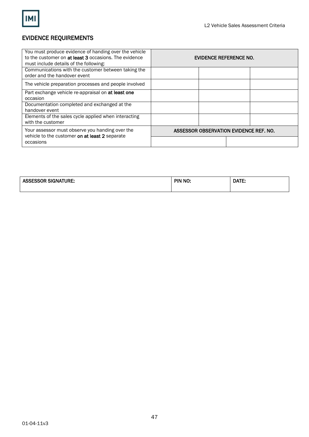

### EVIDENCE REQUIREMENTS

| You must produce evidence of handing over the vehicle<br>to the customer on at least 3 occasions. The evidence<br>must include details of the following: | EVIDENCE REFERENCE NO.                 |  |  |  |
|----------------------------------------------------------------------------------------------------------------------------------------------------------|----------------------------------------|--|--|--|
| Communications with the customer between taking the<br>order and the handover event                                                                      |                                        |  |  |  |
| The vehicle preparation processes and people involved                                                                                                    |                                        |  |  |  |
| Part exchange vehicle re-appraisal on at least one<br>occasion                                                                                           |                                        |  |  |  |
| Documentation completed and exchanged at the<br>handover event                                                                                           |                                        |  |  |  |
| Elements of the sales cycle applied when interacting<br>with the customer                                                                                |                                        |  |  |  |
| Your assessor must observe you handing over the<br>vehicle to the customer on at least 2 separate                                                        | ASSESSOR OBSERVATION EVIDENCE REF. NO. |  |  |  |
| occasions                                                                                                                                                |                                        |  |  |  |

| -^^^^<br>SIGNATURE:<br>ъL<br>æ | <b>NC</b><br>OIN.<br>. .<br>the contract of the contract of the contract of | ATE.<br>JA. |
|--------------------------------|-----------------------------------------------------------------------------|-------------|
|                                |                                                                             |             |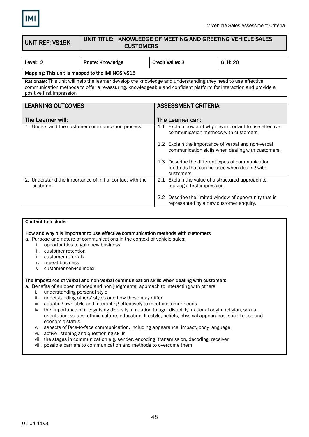

#### UNIT REF: VS15K UNIT TITLE: KNOWLEDGE OF MEETING AND GREETING VEHICLE SALES **CUSTOMERS**

| Level: 2                                                                                                                                                                                                                                                       | <b>Route: Knowledge</b>                          | <b>Credit Value: 3</b>                                                                                        | <b>GLH: 20</b>                                           |  |  |
|----------------------------------------------------------------------------------------------------------------------------------------------------------------------------------------------------------------------------------------------------------------|--------------------------------------------------|---------------------------------------------------------------------------------------------------------------|----------------------------------------------------------|--|--|
|                                                                                                                                                                                                                                                                | Mapping: This unit is mapped to the IMI NOS VS15 |                                                                                                               |                                                          |  |  |
| Rationale: This unit will help the learner develop the knowledge and understanding they need to use effective<br>communication methods to offer a re-assuring, knowledgeable and confident platform for interaction and provide a<br>positive first impression |                                                  |                                                                                                               |                                                          |  |  |
| <b>LEARNING OUTCOMES</b><br><b>ASSESSMENT CRITERIA</b>                                                                                                                                                                                                         |                                                  |                                                                                                               |                                                          |  |  |
|                                                                                                                                                                                                                                                                |                                                  |                                                                                                               |                                                          |  |  |
| The Learner will:<br>The Learner can:                                                                                                                                                                                                                          |                                                  |                                                                                                               |                                                          |  |  |
|                                                                                                                                                                                                                                                                | 1. Understand the customer communication process | communication methods with customers.                                                                         | 1.1 Explain how and why it is important to use effective |  |  |
|                                                                                                                                                                                                                                                                |                                                  | 40 - 111 - 112 - 112 - 112 - 112 - 112 - 112 - 112 - 112 - 112 - 112 - 112 - 112 - 112 - 112 - 112 - 112 - 11 |                                                          |  |  |

|                                                                      | 1.2 Explain the importance of verbal and non-verbal<br>communication skills when dealing with customers.      |
|----------------------------------------------------------------------|---------------------------------------------------------------------------------------------------------------|
|                                                                      | 1.3 Describe the different types of communication<br>methods that can be used when dealing with<br>customers. |
| 2. Understand the importance of initial contact with the<br>customer | 2.1 Explain the value of a structured approach to<br>making a first impression.                               |
|                                                                      | 2.2 Describe the limited window of opportunity that is<br>represented by a new customer enquiry.              |

### Content to Include:

How and why it is important to use effective communication methods with customers

a. Purpose and nature of communications in the context of vehicle sales:

- i. opportunities to gain new business
- ii. customer retention
- iii. customer referrals
- iv. repeat business
- v. customer service index

#### The importance of verbal and non-verbal communication skills when dealing with customers

a. Benefits of an open minded and non judgmental approach to interacting with others:

- i. understanding personal style
- ii. understanding others' styles and how these may differ
- iii. adapting own style and interacting effectively to meet customer needs
- iv. the importance of recognising diversity in relation to age, disability, national origin, religion, sexual orientation, values, ethnic culture, education, lifestyle, beliefs, physical appearance, social class and economic status
- v. aspects of face-to-face communication, including appearance, impact, body language.
- vi. active listening and questioning skills
- vii. the stages in communication e.g. sender, encoding, transmission, decoding, receiver
- viii. possible barriers to communication and methods to overcome them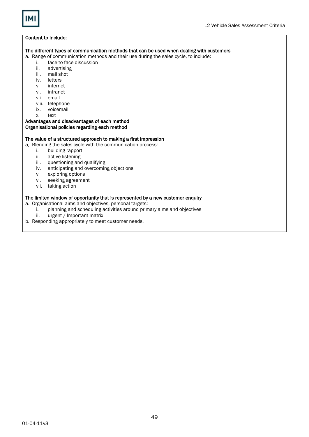

#### The different types of communication methods that can be used when dealing with customers

a. Range of communication methods and their use during the sales cycle, to include:

- i. face-to-face discussion
- ii. advertising
- iii. mail shot
- iv. letters
- v. internet
- vi. intranet
- vii. email
- 
- viii. telephone ix. voicemail
- x. text
- Advantages and disadvantages of each method

### Organisational policies regarding each method

### The value of a structured approach to making a first impression

a. Blending the sales cycle with the communication process:

- i. building rapport
- ii. active listening
- iii. questioning and qualifying
- iv. anticipating and overcoming objections
- 
- v. exploring options<br>vi. seeking agreeme seeking agreement
- vii. taking action

#### The limited window of opportunity that is represented by a new customer enquiry

- a. Organisational aims and objectives, personal targets:
	- i. planning and scheduling activities around primary aims and objectives
	- ii. urgent / Important matrix
- b. Responding appropriately to meet customer needs.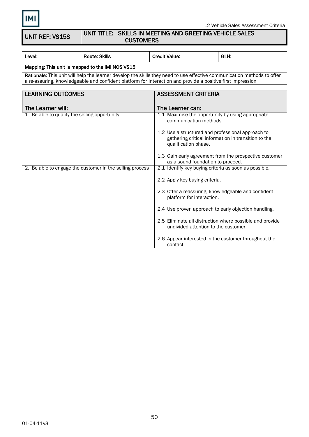

### UNIT TITLE: SKILLS IN MEETING AND GREETING VEHICLE SALES **CUSTOMERS**

| Level:                                                                                                                                                                                                                                 | <b>Route: Skills</b>                                     | <b>Credit Value:</b>                                                             | GLH:                                                     |  |
|----------------------------------------------------------------------------------------------------------------------------------------------------------------------------------------------------------------------------------------|----------------------------------------------------------|----------------------------------------------------------------------------------|----------------------------------------------------------|--|
| Mapping: This unit is mapped to the IMI NOS VS15                                                                                                                                                                                       |                                                          |                                                                                  |                                                          |  |
| Rationale: This unit will help the learner develop the skills they need to use effective communication methods to offer<br>a re-assuring, knowledgeable and confident platform for interaction and provide a positive first impression |                                                          |                                                                                  |                                                          |  |
|                                                                                                                                                                                                                                        |                                                          |                                                                                  |                                                          |  |
| <b>LEARNING OUTCOMES</b>                                                                                                                                                                                                               |                                                          | <b>ASSESSMENT CRITERIA</b>                                                       |                                                          |  |
|                                                                                                                                                                                                                                        |                                                          |                                                                                  |                                                          |  |
| The Learner will:                                                                                                                                                                                                                      |                                                          | The Learner can:                                                                 |                                                          |  |
| 1. Be able to qualify the selling opportunity                                                                                                                                                                                          |                                                          | 1.1 Maximise the opportunity by using appropriate<br>communication methods.      |                                                          |  |
|                                                                                                                                                                                                                                        |                                                          | 1.2 Use a structured and professional approach to<br>qualification phase.        | gathering critical information in transition to the      |  |
|                                                                                                                                                                                                                                        |                                                          | as a sound foundation to proceed.                                                | 1.3 Gain early agreement from the prospective customer   |  |
|                                                                                                                                                                                                                                        | 2. Be able to engage the customer in the selling process | 2.1 Identify key buying criteria as soon as possible.                            |                                                          |  |
|                                                                                                                                                                                                                                        |                                                          | 2.2 Apply key buying criteria.                                                   |                                                          |  |
|                                                                                                                                                                                                                                        |                                                          | 2.3 Offer a reassuring, knowledgeable and confident<br>platform for interaction. |                                                          |  |
|                                                                                                                                                                                                                                        |                                                          | 2.4 Use proven approach to early objection handling.                             |                                                          |  |
|                                                                                                                                                                                                                                        |                                                          | undivided attention to the customer.                                             | 2.5 Eliminate all distraction where possible and provide |  |
|                                                                                                                                                                                                                                        |                                                          | 2.6 Appear interested in the customer throughout the<br>contact.                 |                                                          |  |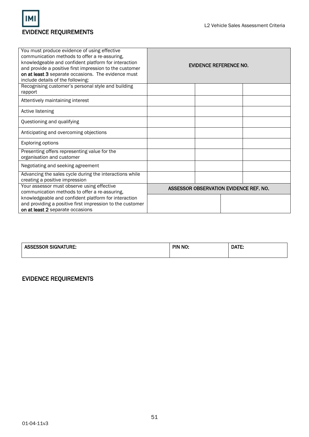

| You must produce evidence of using effective<br>communication methods to offer a re-assuring,<br>knowledgeable and confident platform for interaction<br>and provide a positive first impression to the customer<br>on at least 3 separate occasions. The evidence must<br>include details of the following: | EVIDENCE REFERENCE NO. |  |  |                                        |
|--------------------------------------------------------------------------------------------------------------------------------------------------------------------------------------------------------------------------------------------------------------------------------------------------------------|------------------------|--|--|----------------------------------------|
| Recognising customer's personal style and building<br>rapport                                                                                                                                                                                                                                                |                        |  |  |                                        |
| Attentively maintaining interest                                                                                                                                                                                                                                                                             |                        |  |  |                                        |
| Active listening                                                                                                                                                                                                                                                                                             |                        |  |  |                                        |
| Questioning and qualifying                                                                                                                                                                                                                                                                                   |                        |  |  |                                        |
| Anticipating and overcoming objections                                                                                                                                                                                                                                                                       |                        |  |  |                                        |
| <b>Exploring options</b>                                                                                                                                                                                                                                                                                     |                        |  |  |                                        |
| Presenting offers representing value for the<br>organisation and customer                                                                                                                                                                                                                                    |                        |  |  |                                        |
| Negotiating and seeking agreement                                                                                                                                                                                                                                                                            |                        |  |  |                                        |
| Advancing the sales cycle during the interactions while<br>creating a positive impression                                                                                                                                                                                                                    |                        |  |  |                                        |
| Your assessor must observe using effective<br>communication methods to offer a re-assuring,                                                                                                                                                                                                                  |                        |  |  | ASSESSOR OBSERVATION EVIDENCE REF. NO. |
| knowledgeable and confident platform for interaction<br>and providing a positive first impression to the customer<br>on at least 2 separate occasions                                                                                                                                                        |                        |  |  |                                        |

| <b>SESSOR SIGNATURE:</b><br>$\sim$ | PIN NO:<br>$\sim$ | DATE: |
|------------------------------------|-------------------|-------|
|                                    |                   |       |

### EVIDENCE REQUIREMENTS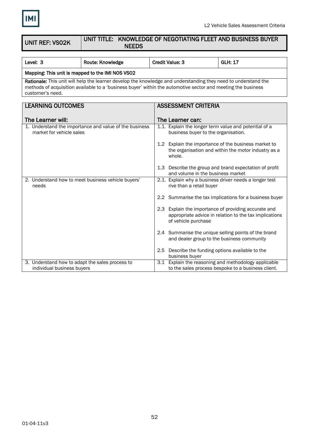

to the sales process bespoke to a business client.

| <b>UNIT REF: VSO2K</b>                           | UNIT TITLE: KNOWLEDGE OF NEGOTIATING FLEET AND BUSINESS BUYER<br><b>NEEDS</b>                                                                                                                                                  |                            |                                     |                                                                                                                |
|--------------------------------------------------|--------------------------------------------------------------------------------------------------------------------------------------------------------------------------------------------------------------------------------|----------------------------|-------------------------------------|----------------------------------------------------------------------------------------------------------------|
|                                                  |                                                                                                                                                                                                                                |                            |                                     |                                                                                                                |
| Level: 3                                         | Route: Knowledge                                                                                                                                                                                                               | <b>Credit Value: 3</b>     |                                     | <b>GLH: 17</b>                                                                                                 |
| Mapping: This unit is mapped to the IMI NOS VS02 |                                                                                                                                                                                                                                |                            |                                     |                                                                                                                |
| customer's need.                                 | Rationale: This unit will help the learner develop the knowledge and understanding they need to understand the<br>methods of acquisition available to a 'business buyer' within the automotive sector and meeting the business |                            |                                     |                                                                                                                |
|                                                  |                                                                                                                                                                                                                                |                            |                                     |                                                                                                                |
| <b>LEARNING OUTCOMES</b>                         |                                                                                                                                                                                                                                | <b>ASSESSMENT CRITERIA</b> |                                     |                                                                                                                |
| The Learner will:                                |                                                                                                                                                                                                                                | The Learner can:           |                                     |                                                                                                                |
| market for vehicle sales                         | 1. Understand the importance and value of the business                                                                                                                                                                         |                            | business buyer to the organisation. | 1.1. Explain the longer term value and potential of a                                                          |
|                                                  |                                                                                                                                                                                                                                | whole.                     |                                     | 1.2 Explain the importance of the business market to<br>the organisation and within the motor industry as a    |
|                                                  |                                                                                                                                                                                                                                |                            |                                     | 1.3 Describe the group and brand expectation of profit<br>and volume in the business market                    |
| needs                                            | 2. Understand how to meet business vehicle buyers'                                                                                                                                                                             |                            | rive than a retail buyer            | 2.1. Explain why a business driver needs a longer test                                                         |
|                                                  |                                                                                                                                                                                                                                |                            |                                     | 2.2 Summarise the tax implications for a business buyer                                                        |
|                                                  |                                                                                                                                                                                                                                | of vehicle purchase        |                                     | 2.3 Explain the importance of providing accurate and<br>appropriate advice in relation to the tax implications |
|                                                  |                                                                                                                                                                                                                                |                            |                                     | 2.4 Summarise the unique selling points of the brand<br>and dealer group to the business community             |
|                                                  |                                                                                                                                                                                                                                | business buyer             |                                     | 2.5 Describe the funding options available to the                                                              |
| 3. Understand how to adapt the sales process to  |                                                                                                                                                                                                                                |                            |                                     | 3.1 Explain the reasoning and methodology applicable                                                           |

individual business buyers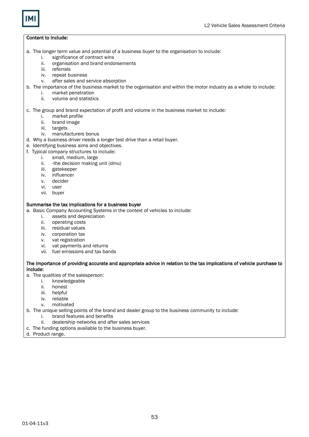- a. The longer term value and potential of a business buyer to the organisation to include:
	- i. significance of contract wins
	- ii. organisation and brand endorsements
	- iii. referrals
	- iv. repeat business
	- v. after sales and service absorption
- b. The importance of the business market to the organisation and within the motor industry as a whole to include:
	- i. market penetration
	- ii. volume and statistics
- c. The group and brand expectation of profit and volume in the business market to include:
	- i. market profile
	- ii. brand image
	- iii. targets
	- iv. manufacturers bonus
- d. Why a business driver needs a longer test drive than a retail buyer.
- e. Identifying business aims and objectives.
- f. Typical company structures to include:
	- i. small, medium, large
	- ii. -the decision making unit (dmu)
	- iii. gatekeeper
	- iv. influencer
	- v. decider
	- vi. user
	- vii. buyer

#### Summarise the tax implications for a business buyer

a. Basic Company Accounting Systems in the context of vehicles to include:

- i. assets and depreciation
- ii. operating costs
- iii. residual values
- iv. corporation tax
- v. vat registration
- vi. vat payments and returns
- vii. fuel emissions and tax bands

### The importance of providing accurate and appropriate advice in relation to the tax implications of vehicle purchase to include:

- a. The qualities of the salesperson:
	- i. knowledgeable
	- ii. honest
	- iii. helpful
	- iv. reliable
	- v. motivated
- b. The unique selling points of the brand and dealer group to the business community to include:
	- i. brand features and benefits
	- ii. dealership networks and after sales services
- c. The funding options available to the business buyer.
- d. Product range.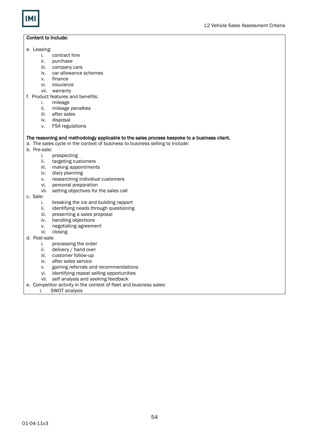

- e. Leasing:
	- i. contract hire<br>ii. purchase
	- ii. purchase<br>iii. company
	- company cars
	- iv. car allowance schemes
	- v. finance<br>vi. insuran
	- insurance
	- vii. warranty
- f. Product features and benefits:
	- i. mileage
	- ii. mileage penalties
	- iii. after sales
	- iv. disposal
	- v. FSA regulations

#### The reasoning and methodology applicable to the sales process bespoke to a business client.

a. The sales cycle in the context of business to business selling to include:

- b. Pre-sale:
	- i. prospecting
	- ii. targeting customers
	- iii. making appointments
	- iv. diary planning
	- v. researching individual customers
	- vi. personal preparation
	- vii. setting objectives for the sales call
- c. Sale:
	- i. breaking the ice and building rapport
	- ii. identifying needs through questioning
	- iii. presenting a sales proposal
	- iv. handling objections
	- v. negotiating agreement
	- vi. closing
- d. Post-sale:
	- i. processing the order
	- ii. delivery / hand over
	- iii. customer follow-up
	- iv. after sales service
	- v. gaining referrals and recommendations
	- vi. identifying repeat selling opportunities
	- vii. self analysis and seeking feedback
- e. Competitor activity in the context of fleet and business sales:
	- i. SWOT analysis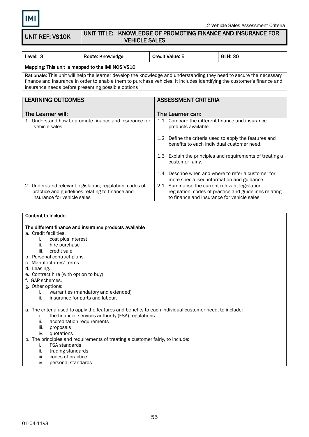UNIT REF: VS10K

### UNIT TITLE: KNOWLEDGE OF PROMOTING FINANCE AND INSURANCE FOR VEHICLE SALES

| Level: 3                                         | Route: Knowledge | <b>Credit Value: 5</b> | <b>GLH: 30</b> |  |
|--------------------------------------------------|------------------|------------------------|----------------|--|
| Manning: This unit is manned to the IMI NOS VS10 |                  |                        |                |  |

### $M$ apping: This unit is mapped to the IMI NOS VS10  $M$

Rationale: This unit will help the learner develop the knowledge and understanding they need to secure the necessary finance and insurance in order to enable them to purchase vehicles. It includes identifying the customer's finance and insurance needs before presenting possible options

| <b>LEARNING OUTCOMES</b>                                                                                                                   | <b>ASSESSMENT CRITERIA</b>                                                                                                                              |
|--------------------------------------------------------------------------------------------------------------------------------------------|---------------------------------------------------------------------------------------------------------------------------------------------------------|
|                                                                                                                                            |                                                                                                                                                         |
| The Learner will:                                                                                                                          | The Learner can:                                                                                                                                        |
| 1. Understand how to promote finance and insurance for<br>vehicle sales                                                                    | Compare the different finance and insurance<br>1.1<br>products available.                                                                               |
|                                                                                                                                            | 1.2 Define the criteria used to apply the features and<br>benefits to each individual customer need.                                                    |
|                                                                                                                                            | 1.3 Explain the principles and requirements of treating a<br>customer fairly.                                                                           |
|                                                                                                                                            | Describe when and where to refer a customer for<br>1.4<br>more specialised information and guidance.                                                    |
| 2. Understand relevant legislation, regulation, codes of<br>practice and guidelines relating to finance and<br>insurance for vehicle sales | 2.1 Summarise the current relevant legislation,<br>regulation, codes of practice and guidelines relating<br>to finance and insurance for vehicle sales. |

### Content to Include:

### The different finance and insurance products available

### a. Credit facilities:

- i. cost plus interest
- ii. hire purchase
- iii. credit sale
- b. Personal contract plans.
- c. Manufacturers' terms.
- d. Leasing.
- e. Contract hire (with option to buy)
- f. GAP schemes.
- g. Other options:
	- i. warranties (mandatory and extended)
	- ii. insurance for parts and labour.

### a. The criteria used to apply the features and benefits to each individual customer need, to include:

- i. the financial services authority (FSA) regulations
- ii. accreditation requirements
- iii. proposals
- iv. quotations
- b. The principles and requirements of treating a customer fairly, to include:
	- i. FSA standards
	- ii. trading standards
	- iii. codes of practice

### iv. personal standards